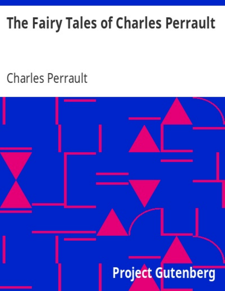# The Fairy Tales of Charles Perrault

## **Charles Perrault**

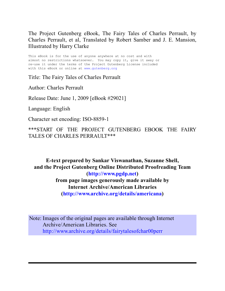The Project Gutenberg eBook, The Fairy Tales of Charles Perrault, by Charles Perrault, et al, Translated by Robert Samber and J. E. Mansion, Illustrated by Harry Clarke

This eBook is for the use of anyone anywhere at no cost and with almost no restrictions whatsoever. You may copy it, give it away or re-use it under the terms of the Project Gutenberg License included with this eBook or online at [www.gutenberg.org](http://www.gutenberg.org/)

Title: The Fairy Tales of Charles Perrault

Author: Charles Perrault

Release Date: June 1, 2009 [eBook #29021]

Language: English

Character set encoding: ISO-8859-1

\*\*\*START OF THE PROJECT GUTENBERG EBOOK THE FAIRY TALES OF CHARLES PERRAULT\*\*\*

**E-text prepared by Sankar Viswanathan, Suzanne Shell, and the Project Gutenberg Online Distributed Proofreading Team ([http://www.pgdp.net\)](http://www.pgdp.net/c/) from page images generously made available by Internet Archive/American Libraries (<http://www.archive.org/details/americana>)**

Note: Images of the original pages are available through Internet Archive/American Libraries. See <http://www.archive.org/details/fairytalesofchar00perr>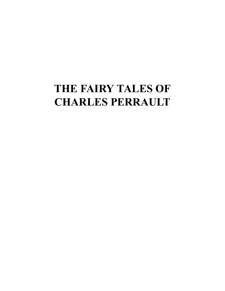## <span id="page-2-0"></span>**THE FAIRY TALES OF CHARLES PERRAULT**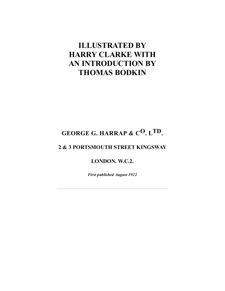## **ILLUSTRATED BY HARRY CLARKE WITH AN INTRODUCTION BY THOMAS BODKIN**

## **GEORGE G. HARRAP & CO. L TD.**

#### **2 & 3 PORTSMOUTH STREET KINGSWAY**

#### **LONDON. W.C.2.**

*First published August 1922*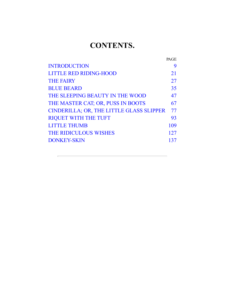## **CONTENTS.**

|                                          | <b>PAGE</b> |
|------------------------------------------|-------------|
| <b>INTRODUCTION</b>                      | 9           |
| <b>LITTLE RED RIDING-HOOD</b>            | 21          |
| <b>THE FAIRY</b>                         | 27          |
| <b>BLUE BEARD</b>                        | 35          |
| THE SLEEPING BEAUTY IN THE WOOD          | 47          |
| THE MASTER CAT; OR, PUSS IN BOOTS        | 67          |
| CINDERILLA; OR, THE LITTLE GLASS SLIPPER | 77          |
| <b>RIQUET WITH THE TUFT</b>              | 93          |
| <b>LITTLE THUMB</b>                      | 109         |
| <b>THE RIDICULOUS WISHES</b>             | 127         |
| <b>DONKEY-SKIN</b>                       | 137         |
|                                          |             |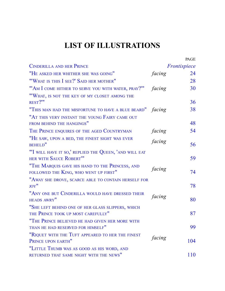## **LIST OF ILLUSTRATIONS**

|                                                                                          |              | PAGE       |
|------------------------------------------------------------------------------------------|--------------|------------|
| <b>CINDERILLA AND HER PRINCE</b>                                                         | Frontispiece |            |
| "HE ASKED HER WHITHER SHE WAS GOING"                                                     | facing       | 24         |
| "'WHAT IS THIS I SEE?' SAID HER MOTHER"                                                  |              | 28         |
| "'AM I COME HITHER TO SERVE YOU WITH WATER, PRAY?'"                                      | facing       | 30         |
| "'WHAT, IS NOT THE KEY OF MY CLOSET AMONG THE<br>REST?"                                  |              | 36         |
| "THIS MAN HAD THE MISFORTUNE TO HAVE A BLUE BEARD"                                       | facing       | 38         |
| "AT THIS VERY INSTANT THE YOUNG FAIRY CAME OUT                                           |              |            |
| FROM BEHIND THE HANGINGS"                                                                |              | 48         |
| THE PRINCE ENQUIRES OF THE AGED COUNTRYMAN                                               | facing       | 54         |
| "HE SAW, UPON A BED, THE FINEST SIGHT WAS EVER<br><b>BEHELD"</b>                         | facing       | 56         |
| "I WILL HAVE IT SO,' REPLIED THE QUEEN, 'AND WILL EAT<br>HER WITH SAUCE ROBERT"          |              | 59         |
| "THE MARQUIS GAVE HIS HAND TO THE PRINCESS, AND<br>FOLLOWED THE KING, WHO WENT UP FIRST" | facing       | 74         |
| "AWAY SHE DROVE, SCARCE ABLE TO CONTAIN HERSELF FOR<br>JOY"                              |              | 78         |
| "ANY ONE BUT CINDERILLA WOULD HAVE DRESSED THEIR<br><b>HEADS AWRY"</b>                   | facing       | 80         |
| "SHE LEFT BEHIND ONE OF HER GLASS SLIPPERS, WHICH                                        |              |            |
| THE PRINCE TOOK UP MOST CAREFULLY"                                                       |              | 87         |
| "THE PRINCE BELIEVED HE HAD GIVEN HER MORE WITH                                          |              |            |
| THAN HE HAD RESERVED FOR HIMSELF"                                                        |              | 99         |
| "RIQUET WITH THE TUFT APPEARED TO HER THE FINEST<br>PRINCE UPON EARTH"                   | facing       | 104        |
| "LITTLE THUMB WAS AS GOOD AS HIS WORD, AND                                               |              |            |
| RETURNED THAT SAME NIGHT WITH THE NEWS"                                                  |              | <b>110</b> |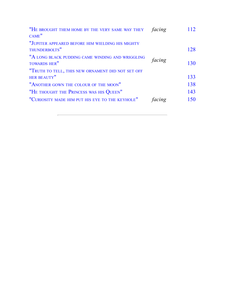| "HE BROUGHT THEM HOME BY THE VERY SAME WAY THEY<br>CAME"                | facing | 112 |
|-------------------------------------------------------------------------|--------|-----|
| "JUPITER APPEARED BEFORE HIM WIELDING HIS MIGHTY<br>THUNDERBOLTS"       |        | 128 |
| "A LONG BLACK PUDDING CAME WINDING AND WRIGGLING<br><b>TOWARDS HER"</b> | facing | 130 |
| "TRUTH TO TELL, THIS NEW ORNAMENT DID NOT SET OFF<br>HER BEAUTY"        |        | 133 |
| "ANOTHER GOWN THE COLOUR OF THE MOON"                                   |        | 138 |
| "HE THOUGHT THE PRINCESS WAS HIS QUEEN"                                 |        | 143 |
| "CURIOSITY MADE HIM PUT HIS EYE TO THE KEYHOLE"                         | facing | 150 |

<span id="page-6-0"></span>'n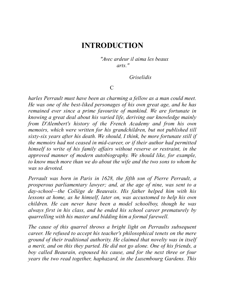## <span id="page-7-0"></span>**INTRODUCTION**

*"Avec ardeur il aima les beaux arts."*

*Griselidis*

#### C

*harles Perrault must have been as charming a fellow as a man could meet. He was one of the best-liked personages of his own great age, and he has remained ever since a prime favourite of mankind. We are fortunate in knowing a great deal about his varied life, deriving our knowledge mainly from D'Alembert's history of the French Academy and from his own memoirs, which were written for his grandchildren, but not published till sixty-six years after his death. We should, I think, be more fortunate still if the memoirs had not ceased in mid-career, or if their author had permitted himself to write of his family af airs without reserve or restraint, in the approved manner of modern autobiography. We should like, for example, to know much more than we do about the wife and the two sons to whom he was so devoted.*

*Perrault was born in Paris in 1628, the fifth son of Pierre Perrault, a prosperous parliamentary lawyer; and, at the age of nine, was sent to a day-school—the Collège de Beauvais. His father helped him with his lessons at home, as he himself, later on, was accustomed to help his own children. He can never have been a model schoolboy, though he was always first in his class, and he ended his school career prematurely by quarrelling with his master and bidding him a formal farewell.*

*The cause of this quarrel throws a bright light on Perraults subsequent career. He refused to accept his teacher's philosophical tenets on the mere ground of their traditional authority. He claimed that novelty was in itself a merit, and on this they parted. He did not go alone. One of his friends, a boy called Beaurain, espoused his cause, and for the next three or four years the two read together, haphazard, in the Luxembourg Gardens. This*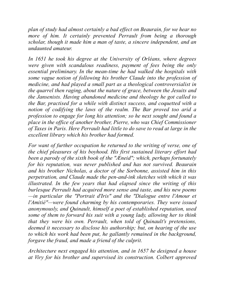*plan of study had almost certainly a bad ef ect on Beaurain, for we hear no more of him. It certainly prevented Perrault from being a thorough scholar, though it made him a man of taste, a sincere independent, and an undaunted amateur.*

*In 1651 he took his degree at the University of Orléans, where degrees were given with scandalous readiness, payment of fees being the only essential preliminary. In the mean-time he had walked the hospitals with some vague notion of following his brother Claude into the profession of medicine, and had played a small part as a theological controversialist in the quarrel then raging, about the nature of grace, between the Jesuits and the Jansenists. Having abandoned medicine and theology he got called to the Bar, practised for a while with distinct success, and coquetted with a notion of codifying the laws of the realm. The Bar proved too arid a profession to engage for long his attention; so he next sought and found a place in the office of another brother, Pierre, who was Chief Commissioner of Taxes in Paris. Here Perrault had little to do save to read at large in the excellent library which his brother had formed.*

*For want of further occupation he returned to the writing of verse, one of the chief pleasures of his boyhood. His first sustained literary ef ort had been a parody of the sixth book of the "Æneid"; which, perhaps fortunately for his reputation, was never published and has not survived. Beaurain and his brother Nicholas, a doctor of the Sorbonne, assisted him in this perpetration, and Claude made the pen-and-ink sketches with which it was illustrated. In the few years that had elapsed since the writing of this burlesque Perrault had acquired more sense and taste, and his new poems —in particular the "Portrait d'Iris" and the "Dialogue entre l'Amour et l'Amitié"—were found charming by his contemporaries. They were issued anonymously, and Quinault, himself a poet of established reputation, used some of them to forward his suit with a young lady, allowing her to think that they were his own. Perrault, when told of Quinault's pretensions, deemed it necessary to disclose his authorship; but, on hearing of the use to which his work had been put, he gallantly remained in the background, forgave the fraud, and made a friend of the culprit.*

*Architecture next engaged his attention, and in 1657 he designed a house at Viry for his brother and supervised its construction. Colbert approved*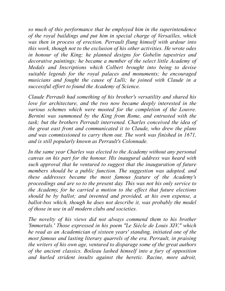*so much of this performance that he employed him in the superintendence of the royal buildings and put him in special charge of Versailles, which was then in process of erection. Perrault flung himself with ardour into this work, though not to the exclusion of his other activities. He wrote odes in honour of the King; he planned designs for Gobelin tapestries and decorative paintings; he became a member of the select little Academy of Medals and Inscriptions which Colbert brought into being to devise suitable legends for the royal palaces and monuments; he encouraged musicians and fought the cause of Lulli; he joined with Claude in a successful effort to found the Academy of Science.* 

*Claude Perrault had something of his brother's versatility and shared his love for architecture, and the two now became deeply interested in the various schemes which were mooted for the completion of the Louvre. Bernini was summoned by the King from Rome, and entrusted with the task; but the brothers Perrault intervened. Charles conceived the idea of the great east front and communicated it to Claude, who drew the plans and was commissioned to carry them out. The work was finished in 1671, and is still popularly known as Perrault's Colonnade.*

*In the same year Charles was elected to the Academy without any personal canvas on his part for the honour. His inaugural address was heard with such approval that he ventured to suggest that the inauguration of future members should be a public function. The suggestion was adopted, and these addresses became the most famous feature of the Academy's proceedings and are so to the present day. This was not his only service to the Academy, for he carried a motion to the ef ect that future elections should be by ballot; and invented and provided, at his own expense, a ballot-box which, though he does not describe it, was probably the model of those in use in all modern clubs and societies.*

*The novelty of his views did not always commend them to his brother 'Immortals.' Those expressed in his poem "Le Siècle de Louis XIV," which he read as an Academician of sixteen years' standing, initiated one of the most famous and lasting literary quarrels of the era. Perrault, in praising the writers of his own age, ventured to disparage some of the great authors of the ancient classics. Boileau lashed himself into a fury of opposition and hurled strident insults against the heretic. Racine, more adroit,*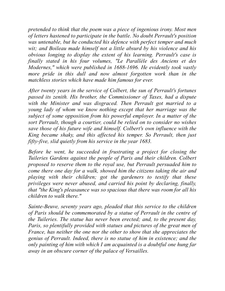*pretended to think that the poem was a piece of ingenious irony. Most men of letters hastened to participate in the battle. No doubt Perrault's position was untenable, but he conducted his defence with perfect temper and much wit; and Boileau made himself not a little absurd by his violence and his obvious longing to display the extent of his learning. Perrault's case is finally stated in his four volumes, "Le Parallèle des Anciens et des Modernes," which were published in 1688-1696. He evidently took vastly more pride in this dull and now almost forgotten work than in the matchless stories which have made him famous for ever.*

*After twenty years in the service of Colbert, the sun of Perrault's fortunes passed its zenith. His brother, the Commissioner of Taxes, had a dispute with the Minister and was disgraced. Then Perrault got married to a young lady of whom we know nothing except that her marriage was the subject of some opposition from his powerful employer. In a matter of the sort Perrault, though a courtier, could be relied on to consider no wishes save those of his future wife and himself. Colbert's own influence with the King became shaky, and this af ected his temper. So Perrault, then just fifty-five, slid quietly from his service in the year 1683.*

*Before he went, he succeeded in frustrating a project for closing the Tuileries Gardens against the people of Paris and their children. Colbert proposed to reserve them to the royal use, but Perrault persuaded him to come there one day for a walk, showed him the citizens taking the air and playing with their children; got the gardeners to testify that these privileges were never abused, and carried his point by declaring, finally, that "the King's pleasaunce was so spacious that there was room for all his children to walk there."*

*Sainte-Beuve, seventy years ago, pleaded that this service to the children of Paris should be commemorated by a statue of Perrault in the centre of the Tuileries. The statue has never been erected; and, to the present day, Paris, so plentifully provided with statues and pictures of the great men of France, has neither the one nor the other to show that she appreciates the genius of Perrault. Indeed, there is no statue of him in existence; and the only painting of him with which I am acquainted is a doubtful one hung far away in an obscure corner of the palace of Versailles.*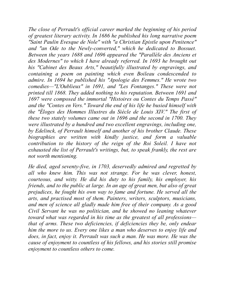*The close of Perrault's official career marked the beginning of his period of greatest literary activity. In 1686 he published his long narrative poem "Saint Paulin Evesque de Nole" with "a Christian Epistle upon Penitence" and "an Ode to the Newly-converted," which he dedicated to Bossuet. Between the years 1688 and 1696 appeared the "Parallèle des Anciens et des Modernes" to which I have already referred. In 1693 he brought out his "Cabinet des Beaux Arts," beautifully illustrated by engravings, and containing a poem on painting which even Boileau condescended to admire. In 1694 he published his "Apologie des Femmes." He wrote two comedies—"L'Oublieux" in 1691, and "Les Fontanges." These were not printed till 1868. They added nothing to his reputation. Between 1691 and 1697 were composed the immortal "Histoires ou Contes du Temps Passé" and the "Contes en Vers." Toward the end of his life he busied himself with the "Éloges des Hommes Illustres du Siècle de Louis XIV." The first of these two stately volumes came out in 1696 and the second in 1700. They were illustrated by a hundred and two excellent engravings, including one, by Edelinck, of Perrault himself and another of his brother Claude. These biographies are written with kindly justice, and form a valuable contribution to the history of the reign of the Roi Soleil. I have not exhausted the list of Perrault's writings, but, to speak frankly, the rest are not worth mentioning.*

*He died, aged seventy-five, in 1703, deservedly admired and regretted by all who knew him. This was not strange. For he was clever, honest, courteous, and witty. He did his duty to his family, his employer, his friends, and to the public at large. In an age of great men, but also of great prejudices, he fought his own way to fame and fortune. He served all the arts, and practised most of them. Painters, writers, sculptors, musicians, and men of science all gladly made him free of their company. As a good Civil Servant he was no politician, and he showed no leaning whatever toward what was regarded in his time as the greatest of all professions that of arms. These two deficiencies, if deficiencies they be, only endear him the more to us. Every one likes a man who deserves to enjoy life and does, in fact, enjoy it. Perrault was such a man. He was more. He was the cause of enjoyment to countless of his fellows, and his stories still promise enjoyment to countless others to come.*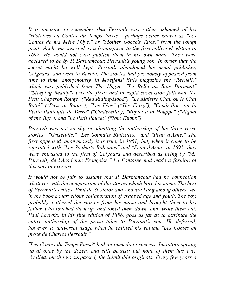*It is amazing to remember that Perrault was rather ashamed of his "Histoires ou Contes du Temps Passé"—perhaps better known as "Les Contes de ma Mère l'Oye," or "Mother Goose's Tales," from the rough print which was inserted as a frontispiece to the first collected edition in 1697. He would not even publish them in his own name. They were declared to be by P. Darmancour, Perrault's young son. In order that the secret might be well kept, Perrault abandoned his usual publisher, Coignard, and went to Barbin. The stories had previously appeared from time to time, anonymously, in Moetjens' little magazine the "Recueil," which was published from The Hague. "La Belle au Bois Dormant" ("Sleeping Beauty") was the first: and in rapid succession followed "Le Petit Chaperon Rouge" ("Red Riding-Hood"), "Le Maistre Chat, ou le Chat Botté" ("Puss in Boots"), "Les Fées" ("The Fairy"), "Cendrillon, ou la Petite Pantoufle de Verre" ("Cinderella"), "Riquet à la Houppe" ("Riquet of the Tuft"), and "Le Petit Poucet" ("Tom Thumb").*

*Perrault was not so shy in admitting the authorship of his three verse stories—"Griselidis," "Les Souhaits Ridicules," and "Peau d'Asne." The first appeared, anonymously it is true, in 1961; but, when it came to be reprinted with "Les Souhaits Ridicules" and "Peau d'Asne" in 1695, they were entrusted to the firm of Coignard and described as being by "Mr Perrault, de l'Academie Françoise." La Fontaine had made a fashion of this sort of exercise.*

*It would not be fair to assume that P. Darmancour had no connection whatever with the composition of the stories which bore his name. The best of Perrault's critics, Paul de St Victor and Andrew Lang among others, see in the book a marvellous collaboration of crabbed age and youth. The boy, probably, gathered the stories from his nurse and brought them to his father, who touched them up, and toned them down, and wrote them out. Paul Lacroix, in his fine edition of 1886, goes as far as to attribute the entire authorship of the prose tales to Perrault's son. He deferred, however, to universal usage when he entitled his volume "Les Contes en prose de Charles Perrault."*

*"Les Contes du Temps Passé" had an immediate success. Imitators sprung up at once by the dozen, and still persist; but none of them has ever rivalled, much less surpassed, the inimitable originals. Every few years a*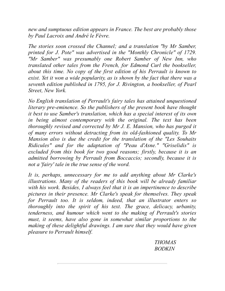*new and sumptuous edition appears in France. The best are probably those by Paul Lacroix and André le Fèvre.*

*The stories soon crossed the Channel; and a translation "by Mr Samber, printed for J. Pote" was advertised in the "Monthly Chronicle" of 1729. "Mr Samber" was presumably one Robert Samber of New Inn, who translated other tales from the French, for Edmond Curl the bookseller, about this time. No copy of the first edition of his Perrault is known to exist. Yet it won a wide popularity, as is shown by the fact that there was a seventh edition published in 1795, for J. Rivington, a bookseller, of Pearl Street, New York.*

*No English translation of Perrault's fairy tales has attained unquestioned literary pre-eminence. So the publishers of the present book have thought it best to use Samber's translation, which has a special interest of its own in being almost contemporary with the original. The text has been thoroughly revised and corrected by Mr J. E. Mansion, who has purged it of many errors without detracting from its old-fashioned quality. To Mr Mansion also is due the credit for the translation of the "Les Souhaits Ridicules" and for the adaptation of "Peau d'Asne." "Griselidis" is excluded from this book for two good reasons; firstly, because it is an admitted borrowing by Perrault from Boccaccio; secondly, because it is not a 'fairy' tale in the true sense of the word.*

*It is, perhaps, unnecessary for me to add anything about Mr Clarke's illustrations. Many of the readers of this book will be already familiar with his work. Besides, I always feel that it is an impertinence to describe pictures in their presence. Mr Clarke's speak for themselves. They speak for Perrault too. It is seldom, indeed, that an illustrator enters so thoroughly into the spirit of his text. The grace, delicacy, urbanity, tenderness, and humour which went to the making of Perrault's stories must, it seems, have also gone in somewhat similar proportions to the making of these delightful drawings. I am sure that they would have given pleasure to Perrault himself.*

> *THOMAS BODKIN*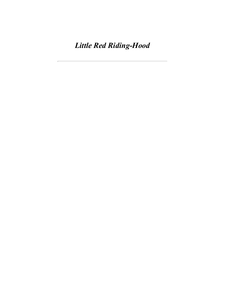<span id="page-14-1"></span><span id="page-14-0"></span>*Little Red Riding-Hood*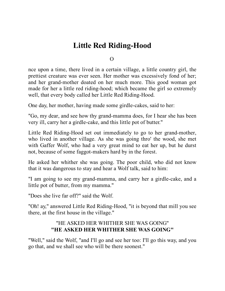## **Little Red Riding-Hood**

 $\Omega$ 

nce upon a time, there lived in a certain village, a little country girl, the prettiest creature was ever seen. Her mother was excessively fond of her; and her grand-mother doated on her much more. This good woman got made for her a little red riding-hood; which became the girl so extremely well, that every body called her Little Red Riding-Hood.

One day, her mother, having made some girdle-cakes, said to her:

"Go, my dear, and see how thy grand-mamma does, for I hear she has been very ill, carry her a girdle-cake, and this little pot of butter."

Little Red Riding-Hood set out immediately to go to her grand-mother, who lived in another village. As she was going thro' the wood, she met with Gaffer Wolf, who had a very great mind to eat her up, but he durst not, because of some faggot-makers hard by in the forest.

He asked her whither she was going. The poor child, who did not know that it was dangerous to stay and hear a Wolf talk, said to him:

"I am going to see my grand-mamma, and carry her a girdle-cake, and a little pot of butter, from my mamma."

"Does she live far off?" said the Wolf.

<span id="page-15-0"></span>"Oh! ay," answered Little Red Riding-Hood, "it is beyond that mill you see there, at the first house in the village."

#### <span id="page-15-1"></span>"HE ASKED HER WHITHER SHE WAS GOING" **"HE ASKED HER WHITHER SHE WAS GOING"**

"Well," said the Wolf, "and I'll go and see her too: I'll go this way, and you go that, and we shall see who will be there soonest."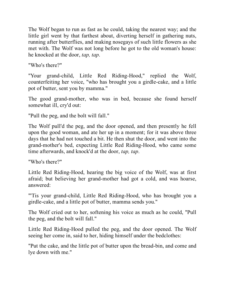The Wolf began to run as fast as he could, taking the nearest way; and the little girl went by that farthest about, diverting herself in gathering nuts, running after butterflies, and making nosegays of such little flowers as she met with. The Wolf was not long before he got to the old woman's house: he knocked at the door, *tap, tap*.

"Who's there?"

"Your grand-child, Little Red Riding-Hood," replied the Wolf, counterfeiting her voice, "who has brought you a girdle-cake, and a little pot of butter, sent you by mamma."

The good grand-mother, who was in bed, because she found herself somewhat ill, cry'd out:

"Pull the peg, and the bolt will fall."

The Wolf pull'd the peg, and the door opened, and then presently he fell upon the good woman, and ate her up in a moment; for it was above three days that he had not touched a bit. He then shut the door, and went into the grand-mother's bed, expecting Little Red Riding-Hood, who came some time afterwards, and knock'd at the door, *tap, tap*.

"Who's there?"

Little Red Riding-Hood, hearing the big voice of the Wolf, was at first afraid; but believing her grand-mother had got a cold, and was hoarse, answered:

"'Tis your grand-child, Little Red Riding-Hood, who has brought you a girdle-cake, and a little pot of butter, mamma sends you."

The Wolf cried out to her, softening his voice as much as he could, "Pull the peg, and the bolt will fall."

Little Red Riding-Hood pulled the peg, and the door opened. The Wolf seeing her come in, said to her, hiding himself under the bedclothes:

"Put the cake, and the little pot of butter upon the bread-bin, and come and lye down with me."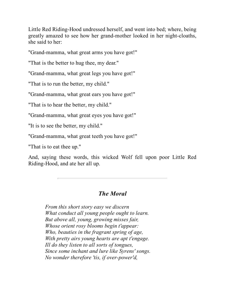Little Red Riding-Hood undressed herself, and went into bed; where, being greatly amazed to see how her grand-mother looked in her night-cloaths, she said to her:

"Grand-mamma, what great arms you have got!"

"That is the better to hug thee, my dear."

"Grand-mamma, what great legs you have got!"

"That is to run the better, my child."

"Grand-mamma, what great ears you have got!"

"That is to hear the better, my child."

"Grand-mamma, what great eyes you have got!"

"It is to see the better, my child."

"Grand-mamma, what great teeth you have got!"

"That is to eat thee up."

And, saying these words, this wicked Wolf fell upon poor Little Red Riding-Hood, and ate her all up.

#### *The Moral*

*From this short story easy we discern What conduct all young people ought to learn. But above all, young, growing misses fair, Whose orient rosy blooms begin t'appear: Who, beauties in the fragrant spring of age, With pretty airs young hearts are apt t'engage. Ill do they listen to all sorts of tongues, Since some inchant and lure like Syrens' songs. No wonder therefore 'tis, if over-power'd,*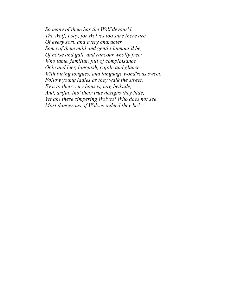<span id="page-18-0"></span>*So many of them has the Wolf devour'd. The Wolf, I say, for Wolves too sure there are Of every sort, and every character. Some of them mild and gentle-humour'd be, Of noise and gall, and rancour wholly free; Who tame, familiar, full of complaisance Ogle and leer, languish, cajole and glance; With luring tongues, and language wond'rous sweet, Follow young ladies as they walk the street, Ev'n to their very houses, nay, bedside, And, artful, tho' their true designs they hide; Yet ah! these simpering Wolves! Who does not see Most dangerous of Wolves indeed they be?*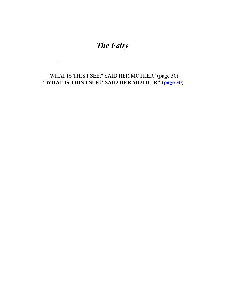## *The Fairy*

#### <span id="page-19-1"></span><span id="page-19-0"></span>"'WHAT IS THIS I SEE?' SAID HER MOTHER" (page 30) **"'WHAT IS THIS I SEE?' SAID HER MOTHER" ([page 30\)](#page-20-1)**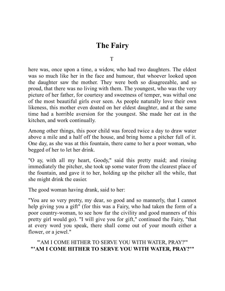## **The Fairy**

T

here was, once upon a time, a widow, who had two daughters. The eldest was so much like her in the face and humour, that whoever looked upon the daughter saw the mother. They were both so disagreeable, and so proud, that there was no living with them. The youngest, who was the very picture of her father, for courtesy and sweetness of temper, was withal one of the most beautiful girls ever seen. As people naturally love their own likeness, this mother even doated on her eldest daughter, and at the same time had a horrible aversion for the youngest. She made her eat in the kitchen, and work continually.

Among other things, this poor child was forced twice a day to draw water above a mile and a half off the house, and bring home a pitcher full of it. One day, as she was at this fountain, there came to her a poor woman, who begged of her to let her drink.

"O ay, with all my heart, Goody," said this pretty maid; and rinsing immediately the pitcher, she took up some water from the clearest place of the fountain, and gave it to her, holding up the pitcher all the while, that she might drink the easier.

The good woman having drank, said to her:

<span id="page-20-1"></span>"You are so very pretty, my dear, so good and so mannerly, that I cannot help giving you a gift" (for this was a Fairy, who had taken the form of a poor country-woman, to see how far the civility and good manners of this pretty girl would go). "I will give you for gift," continued the Fairy, "that at every word you speak, there shall come out of your mouth either a flower, or a jewel."

#### <span id="page-20-0"></span>"'AM I COME HITHER TO SERVE YOU WITH WATER, PRAY?'" **"'AM I COME HITHER TO SERVE YOU WITH WATER, PRAY?'"**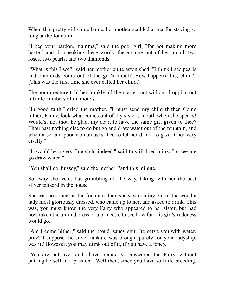When this pretty girl came home, her mother scolded at her for staying so long at the fountain.

"I beg your pardon, mamma," said the poor girl, "for not making more haste," and, in speaking these words, there came out of her mouth two roses, two pearls, and two diamonds.

"What is this I see?" said her mother quite astonished, "I think I see pearls and diamonds come out of the girl's mouth! How happens this, child?" (This was the first time she ever called her child.)

The poor creature told her frankly all the matter, not without dropping out infinite numbers of diamonds.

"In good faith," cried the mother, "I must send my child thither. Come hither, Fanny, look what comes out of thy sister's mouth when she speaks! Would'st not thou be glad, my dear, to have the same gift given to thee? Thou hast nothing else to do but go and draw water out of the fountain, and when a certain poor woman asks thee to let her drink, to give it her very civilly."

"It would be a very fine sight indeed," said this ill-bred minx, "to see me go draw water!"

"You shall go, hussey," said the mother, "and this minute."

So away she went, but grumbling all the way, taking with her the best silver tankard in the house.

She was no sooner at the fountain, than she saw coming out of the wood a lady most gloriously dressed, who came up to her, and asked to drink. This was, you must know, the very Fairy who appeared to her sister, but had now taken the air and dress of a princess, to see how far this girl's rudeness would go.

"Am I come hither," said the proud, saucy slut, "to serve you with water, pray? I suppose the silver tankard was brought purely for your ladyship, was it? However, you may drink out of it, if you have a fancy."

"You are not over and above mannerly," answered the Fairy, without putting herself in a passion. "Well then, since you have so little breeding,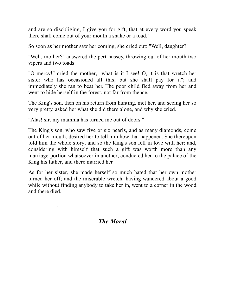and are so disobliging, I give you for gift, that at every word you speak there shall come out of your mouth a snake or a toad."

So soon as her mother saw her coming, she cried out: "Well, daughter?"

"Well, mother?" answered the pert hussey, throwing out of her mouth two vipers and two toads.

"O mercy!" cried the mother, "what is it I see! O, it is that wretch her sister who has occasioned all this; but she shall pay for it"; and immediately she ran to beat her. The poor child fled away from her and went to hide herself in the forest, not far from thence.

The King's son, then on his return from hunting, met her, and seeing her so very pretty, asked her what she did there alone, and why she cried.

"Alas! sir, my mamma has turned me out of doors."

The King's son, who saw five or six pearls, and as many diamonds, come out of her mouth, desired her to tell him how that happened. She thereupon told him the whole story; and so the King's son fell in love with her; and, considering with himself that such a gift was worth more than any marriage-portion whatsoever in another, conducted her to the palace of the King his father, and there married her.

As for her sister, she made herself so much hated that her own mother turned her off; and the miserable wretch, having wandered about a good while without finding anybody to take her in, went to a corner in the wood and there died.

*The Moral*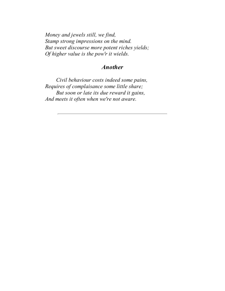*Money and jewels still, we find, Stamp strong impressions on the mind. But sweet discourse more potent riches yields; Of higher value is the pow'r it wields.*

#### *Another*

<span id="page-23-0"></span>*Civil behaviour costs indeed some pains, Requires of complaisance some little share; But soon or late its due reward it gains, And meets it often when we're not aware.*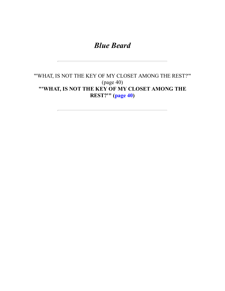## *Blue Beard*

#### <span id="page-24-1"></span><span id="page-24-0"></span>"'WHAT, IS NOT THE KEY OF MY CLOSET AMONG THE REST?'" (page 40) **"'WHAT, IS NOT THE KEY OF MY CLOSET AMONG THE REST?'" ([page 40\)](#page-27-0)**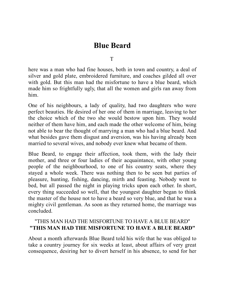## **Blue Beard**

T

here was a man who had fine houses, both in town and country, a deal of silver and gold plate, embroidered furniture, and coaches gilded all over with gold. But this man had the misfortune to have a blue beard, which made him so frightfully ugly, that all the women and girls ran away from him.

One of his neighbours, a lady of quality, had two daughters who were perfect beauties. He desired of her one of them in marriage, leaving to her the choice which of the two she would bestow upon him. They would neither of them have him, and each made the other welcome of him, being not able to bear the thought of marrying a man who had a blue beard. And what besides gave them disgust and aversion, was his having already been married to several wives, and nobody ever knew what became of them.

Blue Beard, to engage their affection, took them, with the lady their mother, and three or four ladies of their acquaintance, with other young people of the neighbourhood, to one of his country seats, where they stayed a whole week. There was nothing then to be seen but parties of pleasure, hunting, fishing, dancing, mirth and feasting. Nobody went to bed, but all passed the night in playing tricks upon each other. In short, every thing succeeded so well, that the youngest daughter began to think the master of the house not to have a beard so very blue, and that he was a mighty civil gentleman. As soon as they returned home, the marriage was concluded.

#### <span id="page-25-1"></span><span id="page-25-0"></span>"THIS MAN HAD THE MISFORTUNE TO HAVE A BLUE BEARD" **"THIS MAN HAD THE MISFORTUNE TO HAVE A BLUE BEARD"**

About a month afterwards Blue Beard told his wife that he was obliged to take a country journey for six weeks at least, about affairs of very great consequence, desiring her to divert herself in his absence, to send for her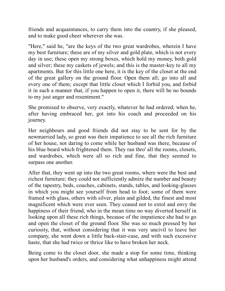friends and acquaintances, to carry them into the country, if she pleased, and to make good cheer wherever she was.

"Here," said he, "are the keys of the two great wardrobes, wherein I have my best furniture; these are of my silver and gold plate, which is not every day in use; these open my strong boxes, which hold my money, both gold and silver; these my caskets of jewels; and this is the master-key to all my apartments. But for this little one here, it is the key of the closet at the end of the great gallery on the ground floor. Open them all; go into all and every one of them; except that little closet which I forbid you, and forbid it in such a manner that, if you happen to open it, there will be no bounds to my just anger and resentment."

She promised to observe, very exactly, whatever he had ordered; when he, after having embraced her, got into his coach and proceeded on his journey.

Her neighbours and good friends did not stay to be sent for by the newmarried lady, so great was their impatience to see all the rich furniture of her house, not daring to come while her husband was there, because of his blue beard which frightened them. They ran thro' all the rooms, closets, and wardrobes, which were all so rich and fine, that they seemed to surpass one another.

After that, they went up into the two great rooms, where were the best and richest furniture; they could not sufficiently admire the number and beauty of the tapestry, beds, couches, cabinets, stands, tables, and looking-glasses in which you might see yourself from head to foot; some of them were framed with glass, others with silver, plain and gilded, the finest and most magnificent which were ever seen. They ceased not to extol and envy the happiness of their friend, who in the mean time no way diverted herself in looking upon all these rich things, because of the impatience she had to go and open the closet of the ground floor. She was so much pressed by her curiosity, that, without considering that it was very uncivil to leave her company, she went down a little back-stair-case, and with such excessive haste, that she had twice or thrice like to have broken her neck.

Being come to the closet door, she made a stop for some time, thinking upon her husband's orders, and considering what unhappiness might attend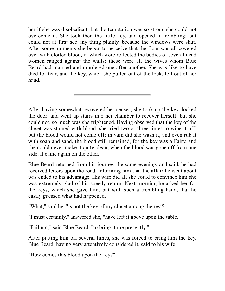<span id="page-27-0"></span>her if she was disobedient; but the temptation was so strong she could not overcome it. She took then the little key, and opened it trembling; but could not at first see any thing plainly, because the windows were shut. After some moments she began to perceive that the floor was all covered over with clotted blood, in which were reflected the bodies of several dead women ranged against the walls: these were all the wives whom Blue Beard had married and murdered one after another. She was like to have died for fear, and the key, which she pulled out of the lock, fell out of her hand.

After having somewhat recovered her senses, she took up the key, locked the door, and went up stairs into her chamber to recover herself; but she could not, so much was she frightened. Having observed that the key of the closet was stained with blood, she tried two or three times to wipe it off, but the blood would not come off; in vain did she wash it, and even rub it with soap and sand, the blood still remained, for the key was a Fairy, and she could never make it quite clean; when the blood was gone off from one side, it came again on the other.

Blue Beard returned from his journey the same evening, and said, he had received letters upon the road, informing him that the affair he went about was ended to his advantage. His wife did all she could to convince him she was extremely glad of his speedy return. Next morning he asked her for the keys, which she gave him, but with such a trembling hand, that he easily guessed what had happened.

"What," said he, "is not the key of my closet among the rest?"

"I must certainly," answered she, "have left it above upon the table."

"Fail not," said Blue Beard, "to bring it me presently."

After putting him off several times, she was forced to bring him the key. Blue Beard, having very attentively considered it, said to his wife:

"How comes this blood upon the key?"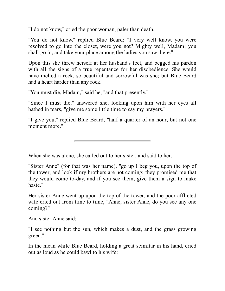"I do not know," cried the poor woman, paler than death.

"You do not know," replied Blue Beard; "I very well know, you were resolved to go into the closet, were you not? Mighty well, Madam; you shall go in, and take your place among the ladies you saw there."

Upon this she threw herself at her husband's feet, and begged his pardon with all the signs of a true repentance for her disobedience. She would have melted a rock, so beautiful and sorrowful was she; but Blue Beard had a heart harder than any rock.

"You must die, Madam," said he, "and that presently."

"Since I must die," answered she, looking upon him with her eyes all bathed in tears, "give me some little time to say my prayers."

"I give you," replied Blue Beard, "half a quarter of an hour, but not one moment more."

When she was alone, she called out to her sister, and said to her:

"Sister Anne" (for that was her name), "go up I beg you, upon the top of the tower, and look if my brothers are not coming; they promised me that they would come to-day, and if you see them, give them a sign to make haste."

Her sister Anne went up upon the top of the tower, and the poor afflicted wife cried out from time to time, "Anne, sister Anne, do you see any one coming?"

And sister Anne said:

"I see nothing but the sun, which makes a dust, and the grass growing green."

In the mean while Blue Beard, holding a great scimitar in his hand, cried out as loud as he could bawl to his wife: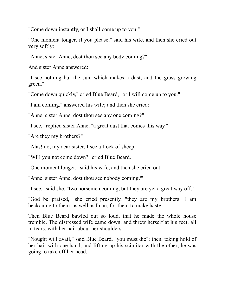"Come down instantly, or I shall come up to you."

"One moment longer, if you please," said his wife, and then she cried out very softly:

"Anne, sister Anne, dost thou see any body coming?"

And sister Anne answered:

"I see nothing but the sun, which makes a dust, and the grass growing green."

"Come down quickly," cried Blue Beard, "or I will come up to you."

"I am coming," answered his wife; and then she cried:

"Anne, sister Anne, dost thou see any one coming?"

"I see," replied sister Anne, "a great dust that comes this way."

"Are they my brothers?"

"Alas! no, my dear sister, I see a flock of sheep."

"Will you not come down?" cried Blue Beard.

"One moment longer," said his wife, and then she cried out:

"Anne, sister Anne, dost thou see nobody coming?"

"I see," said she, "two horsemen coming, but they are yet a great way off."

"God be praised," she cried presently, "they are my brothers; I am beckoning to them, as well as I can, for them to make haste."

Then Blue Beard bawled out so loud, that he made the whole house tremble. The distressed wife came down, and threw herself at his feet, all in tears, with her hair about her shoulders.

"Nought will avail," said Blue Beard, "you must die"; then, taking hold of her hair with one hand, and lifting up his scimitar with the other, he was going to take off her head.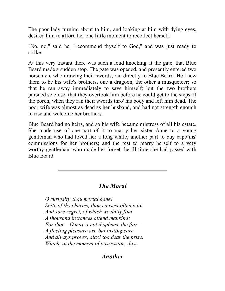The poor lady turning about to him, and looking at him with dying eyes, desired him to afford her one little moment to recollect herself.

"No, no," said he, "recommend thyself to God," and was just ready to strike.

At this very instant there was such a loud knocking at the gate, that Blue Beard made a sudden stop. The gate was opened, and presently entered two horsemen, who drawing their swords, ran directly to Blue Beard. He knew them to be his wife's brothers, one a dragoon, the other a musqueteer; so that he ran away immediately to save himself; but the two brothers pursued so close, that they overtook him before he could get to the steps of the porch, when they ran their swords thro' his body and left him dead. The poor wife was almost as dead as her husband, and had not strength enough to rise and welcome her brothers.

Blue Beard had no heirs, and so his wife became mistress of all his estate. She made use of one part of it to marry her sister Anne to a young gentleman who had loved her a long while; another part to buy captains' commissions for her brothers; and the rest to marry herself to a very worthy gentleman, who made her forget the ill time she had passed with Blue Beard.

#### *The Moral*

*O curiosity, thou mortal bane! Spite of thy charms, thou causest often pain And sore regret, of which we daily find A thousand instances attend mankind: For thou—O may it not displease the fair— A fleeting pleasure art, but lasting care. And always proves, alas! too dear the prize, Which, in the moment of possession, dies.*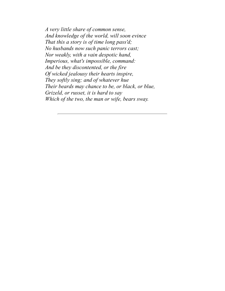<span id="page-31-0"></span>*A very little share of common sense, And knowledge of the world, will soon evince That this a story is of time long pass'd; No husbands now such panic terrors cast; Nor weakly, with a vain despotic hand, Imperious, what's impossible, command: And be they discontented, or the fire Of wicked jealousy their hearts inspire, They softly sing; and of whatever hue Their beards may chance to be, or black, or blue, Grizeld, or russet, it is hard to say Which of the two, the man or wife, bears sway.*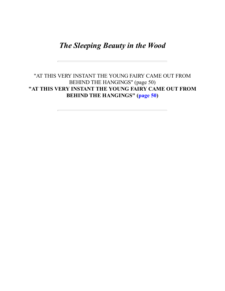<span id="page-32-0"></span>*The Sleeping Beauty in the Wood*

<span id="page-32-1"></span>"AT THIS VERY INSTANT THE YOUNG FAIRY CAME OUT FROM BEHIND THE HANGINGS" (page 50) **"AT THIS VERY INSTANT THE YOUNG FAIRY CAME OUT FROM BEHIND THE HANGINGS" ([page 50](#page-33-0))**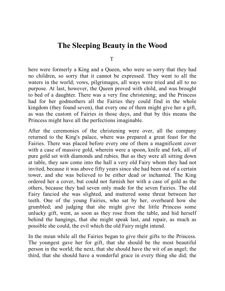### **The Sleeping Beauty in the Wood**

T

here were formerly a King and a Queen, who were so sorry that they had no children, so sorry that it cannot be expressed. They went to all the waters in the world; vows, pilgrimages, all ways were tried and all to no purpose. At last, however, the Queen proved with child, and was brought to bed of a daughter. There was a very fine christening; and the Princess had for her godmothers all the Fairies they could find in the whole kingdom (they found seven), that every one of them might give her a gift, as was the custom of Fairies in those days, and that by this means the Princess might have all the perfections imaginable.

After the ceremonies of the christening were over, all the company returned to the King's palace, where was prepared a great feast for the Fairies. There was placed before every one of them a magnificent cover with a case of massive gold, wherein were a spoon, knife and fork, all of pure gold set with diamonds and rubies. But as they were all sitting down at table, they saw come into the hall a very old Fairy whom they had not invited, because it was above fifty years since she had been out of a certain tower, and she was believed to be either dead or inchanted. The King ordered her a cover, but could not furnish her with a case of gold as the others, because they had seven only made for the seven Fairies. The old Fairy fancied she was slighted, and muttered some threat between her teeth. One of the young Fairies, who sat by her, overheard how she grumbled; and judging that she might give the little Princess some unlucky gift, went, as soon as they rose from the table, and hid herself behind the hangings, that she might speak last, and repair, as much as possible she could, the evil which the old Fairy might intend.

<span id="page-33-0"></span>In the mean while all the Fairies began to give their gifts to the Princess. The youngest gave her for gift, that she should be the most beautiful person in the world; the next, that she should have the wit of an angel; the third, that she should have a wonderful grace in every thing she did; the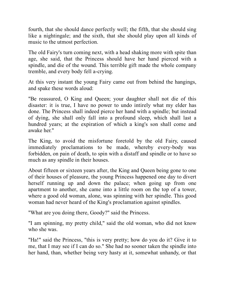fourth, that she should dance perfectly well; the fifth, that she should sing like a nightingale; and the sixth, that she should play upon all kinds of music to the utmost perfection.

The old Fairy's turn coming next, with a head shaking more with spite than age, she said, that the Princess should have her hand pierced with a spindle, and die of the wound. This terrible gift made the whole company tremble, and every body fell a-crying.

At this very instant the young Fairy came out from behind the hangings, and spake these words aloud:

"Be reassured, O King and Queen; your daughter shall not die of this disaster: it is true, I have no power to undo intirely what my elder has done. The Princess shall indeed pierce her hand with a spindle; but instead of dying, she shall only fall into a profound sleep, which shall last a hundred years; at the expiration of which a king's son shall come and awake her."

The King, to avoid the misfortune foretold by the old Fairy, caused immediately proclamations to be made, whereby every-body was forbidden, on pain of death, to spin with a distaff and spindle or to have so much as any spindle in their houses.

About fifteen or sixteen years after, the King and Queen being gone to one of their houses of pleasure, the young Princess happened one day to divert herself running up and down the palace; when going up from one apartment to another, she came into a little room on the top of a tower, where a good old woman, alone, was spinning with her spindle. This good woman had never heard of the King's proclamation against spindles.

"What are you doing there, Goody?" said the Princess.

"I am spinning, my pretty child," said the old woman, who did not know who she was.

"Ha!" said the Princess, "this is very pretty; how do you do it? Give it to me, that I may see if I can do so." She had no sooner taken the spindle into her hand, than, whether being very hasty at it, somewhat unhandy, or that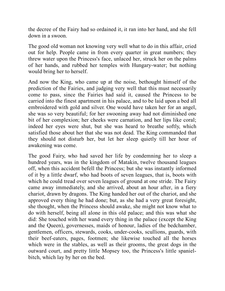the decree of the Fairy had so ordained it, it ran into her hand, and she fell down in a swoon.

The good old woman not knowing very well what to do in this affair, cried out for help. People came in from every quarter in great numbers; they threw water upon the Princess's face, unlaced her, struck her on the palms of her hands, and rubbed her temples with Hungary-water; but nothing would bring her to herself.

And now the King, who came up at the noise, bethought himself of the prediction of the Fairies, and judging very well that this must necessarily come to pass, since the Fairies had said it, caused the Princess to be carried into the finest apartment in his palace, and to be laid upon a bed all embroidered with gold and silver. One would have taken her for an angel, she was so very beautiful; for her swooning away had not diminished one bit of her complexion; her cheeks were carnation, and her lips like coral; indeed her eyes were shut, but she was heard to breathe softly, which satisfied those about her that she was not dead. The King commanded that they should not disturb her, but let her sleep quietly till her hour of awakening was come.

The good Fairy, who had saved her life by condemning her to sleep a hundred years, was in the kingdom of Matakin, twelve thousand leagues off, when this accident befell the Princess; but she was instantly informed of it by a little dwarf, who had boots of seven leagues, that is, boots with which he could tread over seven leagues of ground at one stride. The Fairy came away immediately, and she arrived, about an hour after, in a fiery chariot, drawn by dragons. The King handed her out of the chariot, and she approved every thing he had done; but, as she had a very great foresight, she thought, when the Princess should awake, she might not know what to do with herself, being all alone in this old palace; and this was what she did: She touched with her wand every thing in the palace (except the King and the Queen), governesses, maids of honour, ladies of the bedchamber, gentlemen, officers, stewards, cooks, under-cooks, scullions, guards, with their beef-eaters, pages, footmen; she likewise touched all the horses which were in the stables, as well as their grooms, the great dogs in the outward court, and pretty little Mopsey too, the Princess's little spanielbitch, which lay by her on the bed.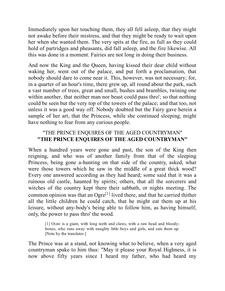Immediately upon her touching them, they all fell asleep, that they might not awake before their mistress, and that they might be ready to wait upon her when she wanted them. The very spits at the fire, as full as they could hold of partridges and pheasants, did fall asleep, and the fire likewise. All this was done in a moment. Fairies are not long in doing their business.

And now the King and the Queen, having kissed their dear child without waking her, went out of the palace, and put forth a proclamation, that nobody should dare to come near it. This, however, was not necessary; for, in a quarter of an hour's time, there grew up, all round about the park, such a vast number of trees, great and small, bushes and brambles, twining one within another, that neither man nor beast could pass thro'; so that nothing could be seen but the very top of the towers of the palace; and that too, not unless it was a good way off. Nobody doubted but the Fairy gave herein a sample of her art, that the Princess, while she continued sleeping, might have nothing to fear from any curious people.

#### "THE PRINCE ENQUIRES OF THE AGED COUNTRYMAN" **"THE PRINCE ENQUIRES OF THE AGED COUNTRYMAN"**

When a hundred years were gone and past, the son of the King then reigning, and who was of another family from that of the sleeping Princess, being gone a-hunting on that side of the country, asked, what were those towers which he saw in the middle of a great thick wood? Every one answered according as they had heard; some said that it was a ruinous old castle, haunted by spirits; others, that all the sorcerers and witches of the country kept there their sabbath, or nights meeting. The common opinion was that an  $Ogre<sup>[1]</sup>$  $Ogre<sup>[1]</sup>$  $Ogre<sup>[1]</sup>$  lived there, and that he carried thither all the little children he could catch, that he might eat them up at his leisure, without any-body's being able to follow him, as having himself, only, the power to pass thro' the wood.

> <span id="page-36-1"></span><span id="page-36-0"></span>[\[1\]](#page-36-1) OGRE is a giant, with long teeth and claws, with a raw head and bloodybones, who runs away with naughty little boys and girls, and eats them up. [Note by the translator.]

The Prince was at a stand, not knowing what to believe, when a very aged countryman spake to him thus: "May it please your Royal Highness, it is now above fifty years since I heard my father, who had heard my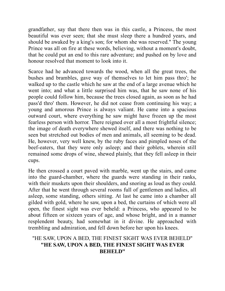grandfather, say that there then was in this castle, a Princess, the most beautiful was ever seen; that she must sleep there a hundred years, and should be awaked by a king's son; for whom she was reserved." The young Prince was all on fire at these words, believing, without a moment's doubt, that he could put an end to this rare adventure; and pushed on by love and honour resolved that moment to look into it.

Scarce had he advanced towards the wood, when all the great trees, the bushes and brambles, gave way of themselves to let him pass thro'; he walked up to the castle which he saw at the end of a large avenue which he went into; and what a little surprised him was, that he saw none of his people could follow him, because the trees closed again, as soon as he had pass'd thro' them. However, he did not cease from continuing his way; a young and amorous Prince is always valiant. He came into a spacious outward court, where everything he saw might have frozen up the most fearless person with horror. There reigned over all a most frightful silence; the image of death everywhere shewed itself, and there was nothing to be seen but stretched out bodies of men and animals, all seeming to be dead. He, however, very well knew, by the ruby faces and pimpled noses of the beef-eaters, that they were only asleep; and their goblets, wherein still remained some drops of wine, shewed plainly, that they fell asleep in their cups.

He then crossed a court paved with marble, went up the stairs, and came into the guard-chamber, where the guards were standing in their ranks, with their muskets upon their shoulders, and snoring as loud as they could. After that he went through several rooms full of gentlemen and ladies, all asleep, some standing, others sitting. At last he came into a chamber all gilded with gold, where he saw, upon a bed, the curtains of which were all open, the finest sight was ever beheld: a Princess, who appeared to be about fifteen or sixteen years of age, and whose bright, and in a manner resplendent beauty, had somewhat in it divine. He approached with trembling and admiration, and fell down before her upon his knees.

#### "HE SAW, UPON A BED, THE FINEST SIGHT WAS EVER BEHELD" **"HE SAW, UPON A BED, THE FINEST SIGHT WAS EVER BEHELD"**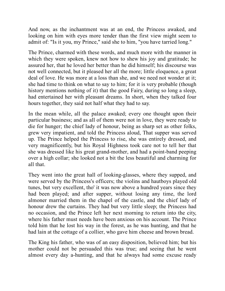And now, as the inchantment was at an end, the Princess awaked, and looking on him with eyes more tender than the first view might seem to admit of: "Is it you, my Prince," said she to him, "you have tarried long."

The Prince, charmed with these words, and much more with the manner in which they were spoken, knew not how to shew his joy and gratitude; he assured her, that he loved her better than he did himself; his discourse was not well connected, but it pleased her all the more; little eloquence, a great deal of love. He was more at a loss than she, and we need not wonder at it; she had time to think on what to say to him; for it is very probable (though history mentions nothing of it) that the good Fairy, during so long a sleep, had entertained her with pleasant dreams. In short, when they talked four hours together, they said not half what they had to say.

In the mean while, all the palace awaked; every one thought upon their particular business; and as all of them were not in love, they were ready to die for hunger; the chief lady of honour, being as sharp set as other folks, grew very impatient, and told the Princess aloud, That supper was served up. The Prince helped the Princess to rise, she was entirely dressed, and very magnificently, but his Royal Highness took care not to tell her that she was dressed like his great grand-mother, and had a point-band peeping over a high collar; she looked not a bit the less beautiful and charming for all that.

They went into the great hall of looking-glasses, where they supped, and were served by the Princess's officers; the violins and hautboys played old tunes, but very excellent, tho' it was now above a hundred years since they had been played; and after supper, without losing any time, the lord almoner married them in the chapel of the castle, and the chief lady of honour drew the curtains. They had but very little sleep; the Princess had no occasion, and the Prince left her next morning to return into the city, where his father must needs have been anxious on his account. The Prince told him that he lost his way in the forest, as he was hunting, and that he had lain at the cottage of a collier, who gave him cheese and brown bread.

The King his father, who was of an easy disposition, believed him; but his mother could not be persuaded this was true; and seeing that he went almost every day a-hunting, and that he always had some excuse ready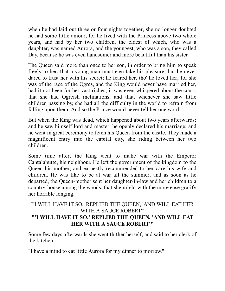when he had laid out three or four nights together, she no longer doubted he had some little amour, for he lived with the Princess above two whole years, and had by her two children, the eldest of which, who was a daughter, was named Aurora, and the youngest, who was a son, they called Day, because he was even handsomer and more beautiful than his sister.

The Queen said more than once to her son, in order to bring him to speak freely to her, that a young man must e'en take his pleasure; but he never dared to trust her with his secret; he feared her, tho' he loved her; for she was of the race of the Ogres, and the King would never have married her, had it not been for her vast riches; it was even whispered about the court, that she had Ogreish inclinations, and that, whenever she saw little children passing by, she had all the difficulty in the world to refrain from falling upon them. And so the Prince would never tell her one word.

But when the King was dead, which happened about two years afterwards; and he saw himself lord and master, he openly declared his marriage; and he went in great ceremony to fetch his Queen from the castle. They made a magnificent entry into the capital city, she riding between her two children.

Some time after, the King went to make war with the Emperor Cantalabutte, his neighbour. He left the government of the kingdom to the Queen his mother, and earnestly recommended to her care his wife and children. He was like to be at war all the summer, and as soon as he departed, the Queen-mother sent her daughter-in-law and her children to a country-house among the woods, that she might with the more ease gratify her horrible longing.

#### "'I WILL HAVE IT SO,' REPLIED THE QUEEN, 'AND WILL EAT HER WITH A SAUCE ROBERT'" **"'I WILL HAVE IT SO,' REPLIED THE QUEEN, 'AND WILL EAT HER WITH A SAUCE ROBERT'"**

Some few days afterwards she went thither herself, and said to her clerk of the kitchen:

"I have a mind to eat little Aurora for my dinner to morrow."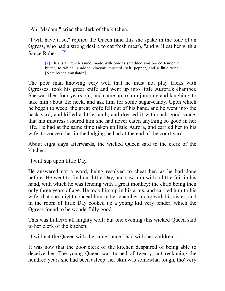"Ah! Madam," cried the clerk of the kitchen.

"I will have it so," replied the Queen (and this she spake in the tone of an Ogress, who had a strong desire to eat fresh meat), "and will eat her with a Sauce Robert." $[2]$ 

> <span id="page-40-1"></span><span id="page-40-0"></span>[\[2\]](#page-40-1) This is a French sauce, made with onions shredded and boiled tender in butter, to which is added vinegar, mustard, salt, pepper, and a little wine. [Note by the translator.]

The poor man knowing very well that he must not play tricks with Ogresses, took his great knife and went up into little Aurora's chamber. She was then four years old, and came up to him jumping and laughing, to take him about the neck, and ask him for some sugar-candy. Upon which he began to weep, the great knife fell out of his hand, and he went into the back-yard, and killed a little lamb, and dressed it with such good sauce, that his mistress assured him she had never eaten anything so good in her life. He had at the same time taken up little Aurora, and carried her to his wife, to conceal her in the lodging he had at the end of the court yard.

About eight days afterwards, the wicked Queen said to the clerk of the kitchen:

"I will sup upon little Day."

He answered not a word, being resolved to cheat her, as he had done before. He went to find out little Day, and saw him with a little foil in his hand, with which he was fencing with a great monkey; the child being then only three years of age. He took him up in his arms, and carried him to his wife, that she might conceal him in her chamber along with his sister, and in the room of little Day cooked up a young kid very tender, which the Ogress found to be wonderfully good.

This was hitherto all mighty well: but one evening this wicked Queen said to her clerk of the kitchen:

"I will eat the Queen with the same sauce I had with her children."

It was now that the poor clerk of the kitchen despaired of being able to deceive her. The young Queen was turned of twenty, not reckoning the hundred years she had been asleep: her skin was somewhat tough, tho' very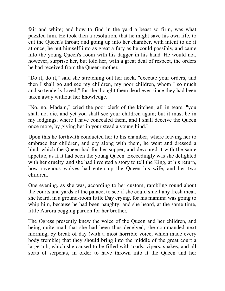fair and white; and how to find in the yard a beast so firm, was what puzzled him. He took then a resolution, that he might save his own life, to cut the Queen's throat; and going up into her chamber, with intent to do it at once, he put himself into as great a fury as he could possibly, and came into the young Queen's room with his dagger in his hand. He would not, however, surprise her, but told her, with a great deal of respect, the orders he had received from the Queen-mother.

"Do it, do it," said she stretching out her neck, "execute your orders, and then I shall go and see my children, my poor children, whom I so much and so tenderly loved," for she thought them dead ever since they had been taken away without her knowledge.

"No, no, Madam," cried the poor clerk of the kitchen, all in tears, "you shall not die, and yet you shall see your children again; but it must be in my lodgings, where I have concealed them, and I shall deceive the Queen once more, by giving her in your stead a young hind."

Upon this he forthwith conducted her to his chamber; where leaving her to embrace her children, and cry along with them, he went and dressed a hind, which the Queen had for her supper, and devoured it with the same appetite, as if it had been the young Queen. Exceedingly was she delighted with her cruelty, and she had invented a story to tell the King, at his return, how ravenous wolves had eaten up the Queen his wife, and her two children.

One evening, as she was, according to her custom, rambling round about the courts and yards of the palace, to see if she could smell any fresh meat, she heard, in a ground-room little Day crying, for his mamma was going to whip him, because he had been naughty; and she heard, at the same time, little Aurora begging pardon for her brother.

The Ogress presently knew the voice of the Queen and her children, and being quite mad that she had been thus deceived, she commanded next morning, by break of day (with a most horrible voice, which made every body tremble) that they should bring into the middle of the great court a large tub, which she caused to be filled with toads, vipers, snakes, and all sorts of serpents, in order to have thrown into it the Queen and her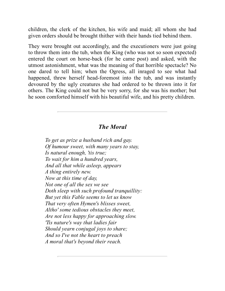children, the clerk of the kitchen, his wife and maid; all whom she had given orders should be brought thither with their hands tied behind them.

They were brought out accordingly, and the executioners were just going to throw them into the tub, when the King (who was not so soon expected) entered the court on horse-back (for he came post) and asked, with the utmost astonishment, what was the meaning of that horrible spectacle? No one dared to tell him; when the Ogress, all inraged to see what had happened, threw herself head-foremost into the tub, and was instantly devoured by the ugly creatures she had ordered to be thrown into it for others. The King could not but be very sorry, for she was his mother; but he soon comforted himself with his beautiful wife, and his pretty children.

## *The Moral*

*To get as prize a husband rich and gay. Of humour sweet, with many years to stay, Is natural enough, 'tis true; To wait for him a hundred years, And all that while asleep, appears A thing entirely new. Now at this time of day, Not one of all the sex we see Doth sleep with such profound tranquillity: But yet this Fable seems to let us know That very often Hymen's blisses sweet, Altho' some tedious obstacles they meet, Are not less happy for approaching slow. 'Tis nature's way that ladies fair Should yearn conjugal joys to share; And so I've not the heart to preach A moral that's beyond their reach.*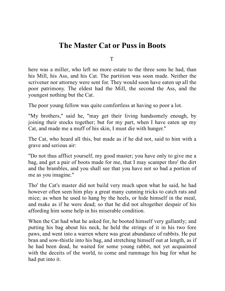# **The Master Cat or Puss in Boots**

T

here was a miller, who left no more estate to the three sons he had, than his Mill, his Ass, and his Cat. The partition was soon made. Neither the scrivener nor attorney were sent for. They would soon have eaten up all the poor patrimony. The eldest had the Mill, the second the Ass, and the youngest nothing but the Cat.

The poor young fellow was quite comfortless at having so poor a lot.

"My brothers," said he, "may get their living handsomely enough, by joining their stocks together; but for my part, when I have eaten up my Cat, and made me a muff of his skin, I must die with hunger."

The Cat, who heard all this, but made as if he did not, said to him with a grave and serious air:

"Do not thus afflict yourself, my good master; you have only to give me a bag, and get a pair of boots made for me, that I may scamper thro' the dirt and the brambles, and you shall see that you have not so bad a portion of me as you imagine."

Tho' the Cat's master did not build very much upon what he said, he had however often seen him play a great many cunning tricks to catch rats and mice; as when he used to hang by the heels, or hide himself in the meal, and make as if he were dead; so that he did not altogether despair of his affording him some help in his miserable condition.

When the Cat had what he asked for, he booted himself very gallantly; and putting his bag about his neck, he held the strings of it in his two fore paws, and went into a warren where was great abundance of rabbits. He put bran and sow-thistle into his bag, and stretching himself out at length, as if he had been dead, he waited for some young rabbit, not yet acquainted with the deceits of the world, to come and rummage his bag for what he had put into it.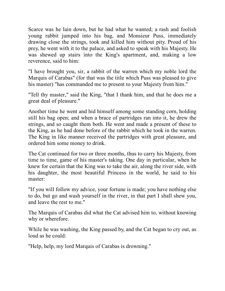Scarce was he lain down, but he had what he wanted; a rash and foolish young rabbit jumped into his bag, and Monsieur Puss, immediately drawing close the strings, took and killed him without pity. Proud of his prey, he went with it to the palace, and asked to speak with his Majesty. He was shewed up stairs into the King's apartment, and, making a low reverence, said to him:

"I have brought you, sir, a rabbit of the warren which my noble lord the Marquis of Carabas" (for that was the title which Puss was pleased to give his master) "has commanded me to present to your Majesty from him."

"Tell thy master," said the King, "that I thank him, and that he does me a great deal of pleasure."

Another time he went and hid himself among some standing corn, holding still his bag open; and when a brace of partridges ran into it, he drew the strings, and so caught them both. He went and made a present of these to the King, as he had done before of the rabbit which he took in the warren. The King in like manner received the partridges with great pleasure, and ordered him some money to drink.

The Cat continued for two or three months, thus to carry his Majesty, from time to time, game of his master's taking. One day in particular, when he knew for certain that the King was to take the air, along the river side, with his daughter, the most beautiful Princess in the world, he said to his master:

"If you will follow my advice, your fortune is made; you have nothing else to do, but go and wash yourself in the river, in that part I shall shew you, and leave the rest to me."

The Marquis of Carabas did what the Cat advised him to, without knowing why or wherefore.

While he was washing, the King passed by, and the Cat began to cry out, as loud as he could:

"Help, help, my lord Marquis of Carabas is drowning."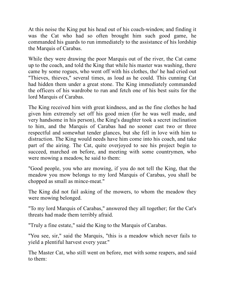At this noise the King put his head out of his coach-window, and finding it was the Cat who had so often brought him such good game, he commanded his guards to run immediately to the assistance of his lordship the Marquis of Carabas.

While they were drawing the poor Marquis out of the river, the Cat came up to the coach, and told the King that while his master was washing, there came by some rogues, who went off with his clothes, tho' he had cried out "Thieves, thieves," several times, as loud as he could. This cunning Cat had hidden them under a great stone. The King immediately commanded the officers of his wardrobe to run and fetch one of his best suits for the lord Marquis of Carabas.

The King received him with great kindness, and as the fine clothes he had given him extremely set off his good mien (for he was well made, and very handsome in his person), the King's daughter took a secret inclination to him, and the Marquis of Carabas had no sooner cast two or three respectful and somewhat tender glances, but she fell in love with him to distraction. The King would needs have him come into his coach, and take part of the airing. The Cat, quite overjoyed to see his project begin to succeed, marched on before, and meeting with some countrymen, who were mowing a meadow, he said to them:

"Good people, you who are mowing, if you do not tell the King, that the meadow you mow belongs to my lord Marquis of Carabas, you shall be chopped as small as mince-meat."

The King did not fail asking of the mowers, to whom the meadow they were mowing belonged.

"To my lord Marquis of Carabas," answered they all together; for the Cat's threats had made them terribly afraid.

"Truly a fine estate," said the King to the Marquis of Carabas.

"You see, sir," said the Marquis, "this is a meadow which never fails to yield a plentiful harvest every year."

The Master Cat, who still went on before, met with some reapers, and said to them: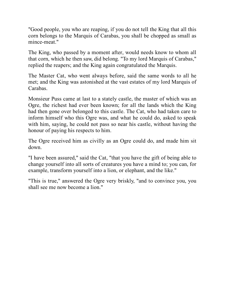"Good people, you who are reaping, if you do not tell the King that all this corn belongs to the Marquis of Carabas, you shall be chopped as small as mince-meat."

The King, who passed by a moment after, would needs know to whom all that corn, which he then saw, did belong. "To my lord Marquis of Carabas," replied the reapers; and the King again congratulated the Marquis.

The Master Cat, who went always before, said the same words to all he met; and the King was astonished at the vast estates of my lord Marquis of Carabas.

Monsieur Puss came at last to a stately castle, the master of which was an Ogre, the richest had ever been known; for all the lands which the King had then gone over belonged to this castle. The Cat, who had taken care to inform himself who this Ogre was, and what he could do, asked to speak with him, saying, he could not pass so near his castle, without having the honour of paying his respects to him.

The Ogre received him as civilly as an Ogre could do, and made him sit down.

"I have been assured," said the Cat, "that you have the gift of being able to change yourself into all sorts of creatures you have a mind to; you can, for example, transform yourself into a lion, or elephant, and the like."

"This is true," answered the Ogre very briskly, "and to convince you, you shall see me now become a lion."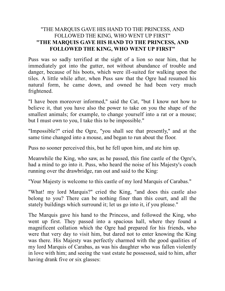#### "THE MARQUIS GAVE HIS HAND TO THE PRINCESS, AND FOLLOWED THE KING, WHO WENT UP FIRST" **"THE MARQUIS GAVE HIS HAND TO THE PRINCESS, AND FOLLOWED THE KING, WHO WENT UP FIRST"**

Puss was so sadly terrified at the sight of a lion so near him, that he immediately got into the gutter, not without abundance of trouble and danger, because of his boots, which were ill-suited for walking upon the tiles. A little while after, when Puss saw that the Ogre had resumed his natural form, he came down, and owned he had been very much frightened.

"I have been moreover informed," said the Cat, "but I know not how to believe it, that you have also the power to take on you the shape of the smallest animals; for example, to change yourself into a rat or a mouse; but I must own to you, I take this to be impossible."

"Impossible?" cried the Ogre, "you shall see that presently," and at the same time changed into a mouse, and began to run about the floor.

Puss no sooner perceived this, but he fell upon him, and ate him up.

Meanwhile the King, who saw, as he passed, this fine castle of the Ogre's, had a mind to go into it. Puss, who heard the noise of his Majesty's coach running over the drawbridge, ran out and said to the King:

"Your Majesty is welcome to this castle of my lord Marquis of Carabas."

"What! my lord Marquis?" cried the King, "and does this castle also belong to you? There can be nothing finer than this court, and all the stately buildings which surround it; let us go into it, if you please."

The Marquis gave his hand to the Princess, and followed the King, who went up first. They passed into a spacious hall, where they found a magnificent collation which the Ogre had prepared for his friends, who were that very day to visit him, but dared not to enter knowing the King was there. His Majesty was perfectly charmed with the good qualities of my lord Marquis of Carabas, as was his daughter who was fallen violently in love with him; and seeing the vast estate he possessed, said to him, after having drank five or six glasses: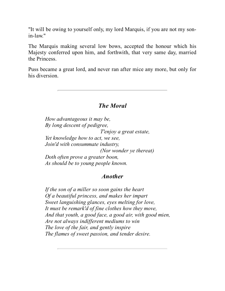"It will be owing to yourself only, my lord Marquis, if you are not my sonin-law."

The Marquis making several low bows, accepted the honour which his Majesty conferred upon him, and forthwith, that very same day, married the Princess.

Puss became a great lord, and never ran after mice any more, but only for his diversion.

## *The Moral*

*How advantageous it may be, By long descent of pedigree, T'enjoy a great estate, Yet knowledge how to act, we see, Join'd with consummate industry, (Nor wonder ye thereat) Doth often prove a greater boon, As should be to young people known.*

#### *Another*

*If the son of a miller so soon gains the heart Of a beautiful princess, and makes her impart Sweet languishing glances, eyes melting for love, It must be remark'd of fine clothes how they move, And that youth, a good face, a good air, with good mien, Are not always indif erent mediums to win The love of the fair, and gently inspire The flames of sweet passion, and tender desire.*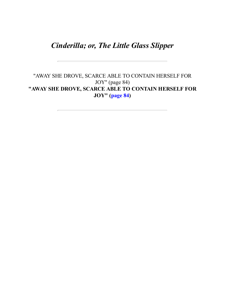# *Cinderilla; or, The Little Glass Slipper*

### "AWAY SHE DROVE, SCARCE ABLE TO CONTAIN HERSELF FOR JOY" (page 84) **"AWAY SHE DROVE, SCARCE ABLE TO CONTAIN HERSELF FOR JOY" ([page 84\)](#page-54-0)**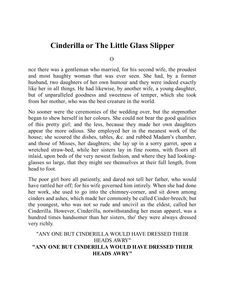# **Cinderilla or The Little Glass Slipper**

 $\Omega$ 

nce there was a gentleman who married, for his second wife, the proudest and most haughty woman that was ever seen. She had, by a former husband, two daughters of her own humour and they were indeed exactly like her in all things. He had likewise, by another wife, a young daughter, but of unparalleled goodness and sweetness of temper, which she took from her mother, who was the best creature in the world.

No sooner were the ceremonies of the wedding over, but the stepmother began to shew herself in her colours. She could not bear the good qualities of this pretty girl; and the less, because they made her own daughters appear the more odious. She employed her in the meanest work of the house; she scoured the dishes, tables, &c. and rubbed Madam's chamber, and those of Misses, her daughters; she lay up in a sorry garret, upon a wretched straw-bed, while her sisters lay in fine rooms, with floors all inlaid, upon beds of the very newest fashion, and where they had lookingglasses so large, that they might see themselves at their full length, from head to foot.

The poor girl bore all patiently, and dared not tell her father, who would have rattled her off; for his wife governed him intirely. When she had done her work, she used to go into the chimney-corner, and sit down among cinders and ashes, which made her commonly be called Cinder-breech; but the youngest, who was not so rude and uncivil as the eldest, called her Cinderilla. However, Cinderilla, notwithstanding her mean apparel, was a hundred times handsomer than her sisters, tho' they were always dressed very richly.

#### "ANY ONE BUT CINDERILLA WOULD HAVE DRESSED THEIR HEADS AWRY" **"ANY ONE BUT CINDERILLA WOULD HAVE DRESSED THEIR HEADS AWRY"**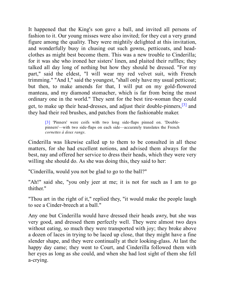It happened that the King's son gave a ball, and invited all persons of fashion to it. Our young misses were also invited; for they cut a very grand figure among the quality. They were mightily delighted at this invitation, and wonderfully busy in chusing out such gowns, petticoats, and headclothes as might best become them. This was a new trouble to Cinderilla; for it was she who ironed her sisters' linen, and plaited their ruffles; they talked all day long of nothing but how they should be dressed. "For my part," said the eldest, "I will wear my red velvet suit, with French trimming." "And I," said the youngest, "shall only have my usual petticoat; but then, to make amends for that, I will put on my gold-flowered manteau, and my diamond stomacher, which is far from being the most ordinary one in the world." They sent for the best tire-woman they could get, to make up their head-dresses, and adjust their double-pinners,<sup>[\[3\]](#page-52-0)</sup> and they had their red brushes, and patches from the fashionable maker.

> <span id="page-52-1"></span><span id="page-52-0"></span>[\[3\]](#page-52-1) 'Pinners' were coifs with two long side-flaps pinned on. 'Doublepinners'—with two side-flaps on each side—accurately translates the French *cornettes à deux rangs*.

Cinderilla was likewise called up to them to be consulted in all these matters, for she had excellent notions, and advised them always for the best, nay and offered her service to dress their heads, which they were very willing she should do. As she was doing this, they said to her:

"Cinderilla, would you not be glad to go to the ball?"

"Ah!" said she, "you only jeer at me; it is not for such as I am to go thither."

"Thou art in the right of it," replied they, "it would make the people laugh to see a Cinder-breech at a ball."

Any one but Cinderilla would have dressed their heads awry, but she was very good, and dressed them perfectly well. They were almost two days without eating, so much they were transported with joy; they broke above a dozen of laces in trying to be laced up close, that they might have a fine slender shape, and they were continually at their looking-glass. At last the happy day came; they went to Court, and Cinderilla followed them with her eyes as long as she could, and when she had lost sight of them she fell a-crying.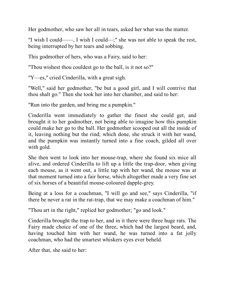Her godmother, who saw her all in tears, asked her what was the matter.

"I wish I could——, I wish I could—;" she was not able to speak the rest, being interrupted by her tears and sobbing.

This godmother of hers, who was a Fairy, said to her:

"Thou wishest thou couldest go to the ball, is it not so?"

"Y—es," cried Cinderilla, with a great sigh.

"Well," said her godmother, "be but a good girl, and I will contrive that thou shalt go." Then she took her into her chamber, and said to her:

"Run into the garden, and bring me a pumpkin."

Cinderilla went immediately to gather the finest she could get, and brought it to her godmother, not being able to imagine how this pumpkin could make her go to the ball. Her godmother scooped out all the inside of it, leaving nothing but the rind; which done, she struck it with her wand, and the pumpkin was instantly turned into a fine coach, gilded all over with gold.

She then went to look into her mouse-trap, where she found six mice all alive, and ordered Cinderilla to lift up a little the trap-door, when giving each mouse, as it went out, a little tap with her wand, the mouse was at that moment turned into a fair horse, which altogether made a very fine set of six horses of a beautiful mouse-coloured dapple-grey.

Being at a loss for a coachman, "I will go and see," says Cinderilla, "if there be never a rat in the rat-trap, that we may make a coachman of him."

"Thou art in the right," replied her godmother; "go and look."

Cinderilla brought the trap to her, and in it there were three huge rats. The Fairy made choice of one of the three, which had the largest beard, and, having touched him with her wand, he was turned into a fat jolly coachman, who had the smartest whiskers eyes ever beheld.

After that, she said to her: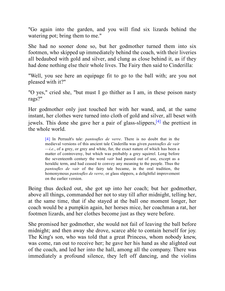"Go again into the garden, and you will find six lizards behind the watering pot; bring them to me."

She had no sooner done so, but her godmother turned them into six footmen, who skipped up immediately behind the coach, with their liveries all bedaubed with gold and silver, and clung as close behind it, as if they had done nothing else their whole lives. The Fairy then said to Cinderilla:

"Well, you see here an equipage fit to go to the ball with; are you not pleased with it?"

"O yes," cried she, "but must I go thither as I am, in these poison nasty rags?"

Her godmother only just touched her with her wand, and, at the same instant, her clothes were turned into cloth of gold and silver, all beset with jewels. This done she gave her a pair of glass-slippers,<sup>[\[4\]](#page-54-1)</sup> the prettiest in the whole world.

> <span id="page-54-2"></span><span id="page-54-1"></span>[\[4\]](#page-54-2) In Perrault's tale: *pantoufles de verre*. There is no doubt that in the medieval versions of this ancient tale Cinderilla was given *pantoufles de vair* —*i.e.*, of a grey, or grey and white, fur, the exact nature of which has been a matter of controversy, but which was probably a grey squirrel. Long before the seventeenth century the word *vair* had passed out of use, except as a heraldic term, and had ceased to convey any meaning to the people. Thus the *pantoufles de vair* of the fairy tale became, in the oral tradition, the homonymous *pantoufles de verre*, or glass slippers, a delightful improvement on the earlier version.

Being thus decked out, she got up into her coach; but her godmother, above all things, commanded her not to stay till after midnight, telling her, at the same time, that if she stayed at the ball one moment longer, her coach would be a pumpkin again, her horses mice, her coachman a rat, her footmen lizards, and her clothes become just as they were before.

<span id="page-54-0"></span>She promised her godmother, she would not fail of leaving the ball before midnight; and then away she drove, scarce able to contain herself for joy. The King's son, who was told that a great Princess, whom nobody knew, was come, ran out to receive her; he gave her his hand as she alighted out of the coach, and led her into the hall, among all the company. There was immediately a profound silence, they left off dancing, and the violins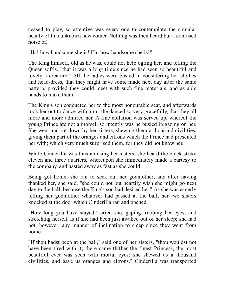ceased to play, so attentive was every one to contemplate the singular beauty of this unknown new comer. Nothing was then heard but a confused noise of,

"Ha! how handsome she is! Ha! how handsome she is!"

The King himself, old as he was, could not help ogling her, and telling the Queen softly, "that it was a long time since he had seen so beautiful and lovely a creature." All the ladies were busied in considering her clothes and head-dress, that they might have some made next day after the same pattern, provided they could meet with such fine materials, and as able hands to make them.

The King's son conducted her to the most honourable seat, and afterwards took her out to dance with him: she danced so very gracefully, that they all more and more admired her. A fine collation was served up, whereof the young Prince ate not a morsel, so intently was he busied in gazing on her. She went and sat down by her sisters, shewing them a thousand civilities, giving them part of the oranges and citrons which the Prince had presented her with; which very much surprised them, for they did not know her.

While Cinderilla was thus amusing her sisters, she heard the clock strike eleven and three quarters, whereupon she immediately made a curtesy to the company, and hasted away as fast as she could.

Being got home, she ran to seek out her godmother, and after having thanked her, she said, "she could not but heartily wish she might go next day to the ball, because the King's son had desired her." As she was eagerly telling her godmother whatever had passed at the ball, her two sisters knocked at the door which Cinderilla ran and opened.

"How long you have stayed," cried she, gaping, rubbing her eyes, and stretching herself as if she had been just awaked out of her sleep; she had not, however, any manner of inclination to sleep since they went from home.

"If thou hadst been at the ball," said one of her sisters, "thou wouldst not have been tired with it; there came thither the finest Princess, the most beautiful ever was seen with mortal eyes; she shewed us a thousand civilities, and gave us oranges and citrons." Cinderilla was transported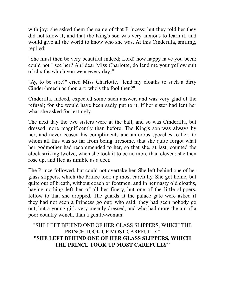with joy; she asked them the name of that Princess; but they told her they did not know it; and that the King's son was very anxious to learn it, and would give all the world to know who she was. At this Cinderilla, smiling, replied:

"She must then be very beautiful indeed; Lord! how happy have you been; could not I see her? Ah! dear Miss Charlotte, do lend me your yellow suit of cloaths which you wear every day!"

"Ay, to be sure!" cried Miss Charlotte, "lend my cloaths to such a dirty Cinder-breech as thou art; who's the fool then?"

Cinderilla, indeed, expected some such answer, and was very glad of the refusal; for she would have been sadly put to it, if her sister had lent her what she asked for jestingly.

The next day the two sisters were at the ball, and so was Cinderilla, but dressed more magnificently than before. The King's son was always by her, and never ceased his compliments and amorous speeches to her; to whom all this was so far from being tiresome, that she quite forgot what her godmother had recommended to her, so that she, at last, counted the clock striking twelve, when she took it to be no more than eleven; she then rose up, and fled as nimble as a deer.

The Prince followed, but could not overtake her. She left behind one of her glass slippers, which the Prince took up most carefully. She got home, but quite out of breath, without coach or footmen, and in her nasty old cloaths, having nothing left her of all her finery, but one of the little slippers, fellow to that she dropped. The guards at the palace gate were asked if they had not seen a Princess go out; who said, they had seen nobody go out, but a young girl, very meanly dressed, and who had more the air of a poor country wench, than a gentle-woman.

#### "SHE LEFT BEHIND ONE OF HER GLASS SLIPPERS, WHICH THE PRINCE TOOK UP MOST CAREFULLY" **"SHE LEFT BEHIND ONE OF HER GLASS SLIPPERS, WHICH THE PRINCE TOOK UP MOST CAREFULLY"**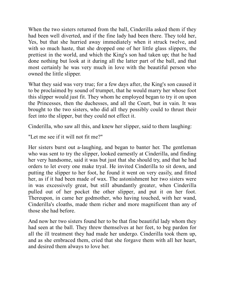When the two sisters returned from the ball, Cinderilla asked them if they had been well diverted, and if the fine lady had been there. They told her, Yes, but that she hurried away immediately when it struck twelve, and with so much haste, that she dropped one of her little glass slippers, the prettiest in the world, and which the King's son had taken up; that he had done nothing but look at it during all the latter part of the ball, and that most certainly he was very much in love with the beautiful person who owned the little slipper.

What they said was very true; for a few days after, the King's son caused it to be proclaimed by sound of trumpet, that he would marry her whose foot this slipper would just fit. They whom he employed began to try it on upon the Princesses, then the duchesses, and all the Court, but in vain. It was brought to the two sisters, who did all they possibly could to thrust their feet into the slipper, but they could not effect it.

Cinderilla, who saw all this, and knew her slipper, said to them laughing:

"Let me see if it will not fit me?"

Her sisters burst out a-laughing, and began to banter her. The gentleman who was sent to try the slipper, looked earnestly at Cinderilla, and finding her very handsome, said it was but just that she should try, and that he had orders to let every one make tryal. He invited Cinderilla to sit down, and putting the slipper to her foot, he found it went on very easily, and fitted her, as if it had been made of wax. The astonishment her two sisters were in was excessively great, but still abundantly greater, when Cinderilla pulled out of her pocket the other slipper, and put it on her foot. Thereupon, in came her godmother, who having touched, with her wand, Cinderilla's cloaths, made them richer and more magnificent than any of those she had before.

And now her two sisters found her to be that fine beautiful lady whom they had seen at the ball. They threw themselves at her feet, to beg pardon for all the ill treatment they had made her undergo. Cinderilla took them up, and as she embraced them, cried that she forgave them with all her heart, and desired them always to love her.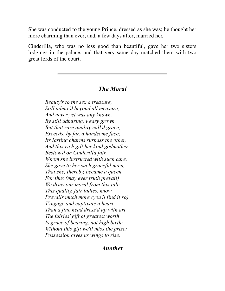She was conducted to the young Prince, dressed as she was; he thought her more charming than ever, and, a few days after, married her.

Cinderilla, who was no less good than beautiful, gave her two sisters lodgings in the palace, and that very same day matched them with two great lords of the court.

## *The Moral*

*Beauty's to the sex a treasure, Still admir'd beyond all measure, And never yet was any known, By still admiring, weary grown. But that rare quality call'd grace, Exceeds, by far, a handsome face; Its lasting charms surpass the other, And this rich gift her kind godmother Bestow'd on Cinderilla fair, Whom she instructed with such care. She gave to her such graceful mien, That she, thereby, became a queen. For thus (may ever truth prevail) We draw our moral from this tale. This quality, fair ladies, know Prevails much more (you'll find it so) T'ingage and captivate a heart, Than a fine head dress'd up with art. The fairies' gift of greatest worth Is grace of bearing, not high birth; Without this gift we'll miss the prize; Possession gives us wings to rise.*

#### *Another*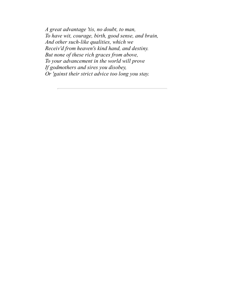*A great advantage 'tis, no doubt, to man, To have wit, courage, birth, good sense, and brain, And other such-like qualities, which we Receiv'd from heaven's kind hand, and destiny. But none of these rich graces from above, To your advancement in the world will prove If godmothers and sires you disobey, Or 'gainst their strict advice too long you stay.*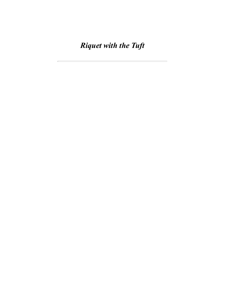*Riquet with the Tuft*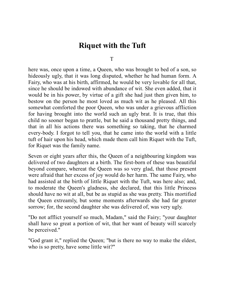# **Riquet with the Tuft**

T

here was, once upon a time, a Queen, who was brought to bed of a son, so hideously ugly, that it was long disputed, whether he had human form. A Fairy, who was at his birth, affirmed, he would be very lovable for all that, since he should be indowed with abundance of wit. She even added, that it would be in his power, by virtue of a gift she had just then given him, to bestow on the person he most loved as much wit as he pleased. All this somewhat comforted the poor Queen, who was under a grievous affliction for having brought into the world such an ugly brat. It is true, that this child no sooner began to prattle, but he said a thousand pretty things, and that in all his actions there was something so taking, that he charmed every-body. I forgot to tell you, that he came into the world with a little tuft of hair upon his head, which made them call him Riquet with the Tuft, for Riquet was the family name.

Seven or eight years after this, the Queen of a neighbouring kingdom was delivered of two daughters at a birth. The first-born of these was beautiful beyond compare, whereat the Queen was so very glad, that those present were afraid that her excess of joy would do her harm. The same Fairy, who had assisted at the birth of little Riquet with the Tuft, was here also; and, to moderate the Queen's gladness, she declared, that this little Princess should have no wit at all, but be as stupid as she was pretty. This mortified the Queen extreamly, but some moments afterwards she had far greater sorrow; for, the second daughter she was delivered of, was very ugly.

"Do not afflict yourself so much, Madam," said the Fairy; "your daughter shall have so great a portion of wit, that her want of beauty will scarcely be perceived."

"God grant it," replied the Queen; "but is there no way to make the eldest, who is so pretty, have some little wit?"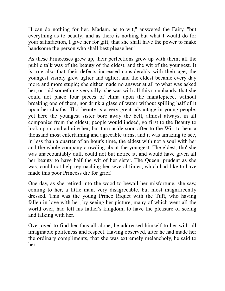"I can do nothing for her, Madam, as to wit," answered the Fairy, "but everything as to beauty; and as there is nothing but what I would do for your satisfaction, I give her for gift, that she shall have the power to make handsome the person who shall best please her."

As these Princesses grew up, their perfections grew up with them; all the public talk was of the beauty of the eldest, and the wit of the youngest. It is true also that their defects increased considerably with their age; the youngest visibly grew uglier and uglier, and the eldest became every day more and more stupid; she either made no answer at all to what was asked her, or said something very silly; she was with all this so unhandy, that she could not place four pieces of china upon the mantlepiece, without breaking one of them, nor drink a glass of water without spilling half of it upon her cloaths. Tho' beauty is a very great advantage in young people, yet here the youngest sister bore away the bell, almost always, in all companies from the eldest; people would indeed, go first to the Beauty to look upon, and admire her, but turn aside soon after to the Wit, to hear a thousand most entertaining and agreeable turns, and it was amazing to see, in less than a quarter of an hour's time, the eldest with not a soul with her and the whole company crowding about the youngest. The eldest, tho' she was unaccountably dull, could not but notice it, and would have given all her beauty to have half the wit of her sister. The Queen, prudent as she was, could not help reproaching her several times, which had like to have made this poor Princess die for grief.

One day, as she retired into the wood to bewail her misfortune, she saw, coming to her, a little man, very disagreeable, but most magnificently dressed. This was the young Prince Riquet with the Tuft, who having fallen in love with her, by seeing her picture, many of which went all the world over, had left his father's kingdom, to have the pleasure of seeing and talking with her.

Overjoyed to find her thus all alone, he addressed himself to her with all imaginable politeness and respect. Having observed, after he had made her the ordinary compliments, that she was extremely melancholy, he said to her: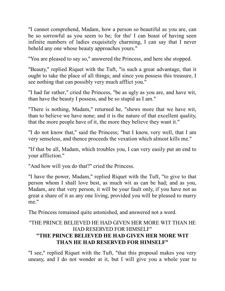"I cannot comprehend, Madam, how a person so beautiful as you are, can be so sorrowful as you seem to be; for tho' I can boast of having seen infinite numbers of ladies exquisitely charming, I can say that I never beheld any one whose beauty approaches yours."

"You are pleased to say so," answered the Princess, and here she stopped.

"Beauty," replied Riquet with the Tuft, "is such a great advantage, that it ought to take the place of all things; and since you possess this treasure, I see nothing that can possibly very much afflict you."

"I had far rather," cried the Princess, "be as ugly as you are, and have wit, than have the beauty I possess, and be so stupid as I am."

"There is nothing, Madam," returned he, "shews more that we have wit, than to believe we have none; and it is the nature of that excellent quality, that the more people have of it, the more they believe they want it."

"I do not know that," said the Princess; "but I know, very well, that I am very senseless, and thence proceeds the vexation which almost kills me."

"If that be all, Madam, which troubles you, I can very easily put an end to your affliction."

"And how will you do that?" cried the Princess.

"I have the power, Madam," replied Riquet with the Tuft, "to give to that person whom I shall love best, as much wit as can be had; and as you, Madam, are that very person, it will be your fault only, if you have not as great a share of it as any one living, provided you will be pleased to marry me."

The Princess remained quite astonished, and answered not a word.

### "THE PRINCE BELIEVED HE HAD GIVEN HER MORE WIT THAN HE HAD RESERVED FOR HIMSELF" **"THE PRINCE BELIEVED HE HAD GIVEN HER MORE WIT THAN HE HAD RESERVED FOR HIMSELF"**

"I see," replied Riquet with the Tuft, "that this proposal makes you very uneasy, and I do not wonder at it, but I will give you a whole year to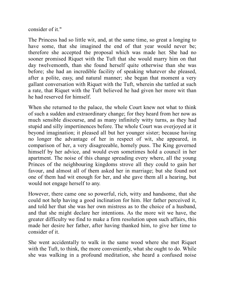consider of it."

The Princess had so little wit, and, at the same time, so great a longing to have some, that she imagined the end of that year would never be; therefore she accepted the proposal which was made her. She had no sooner promised Riquet with the Tuft that she would marry him on that day twelvemonth, than she found herself quite otherwise than she was before; she had an incredible facility of speaking whatever she pleased, after a polite, easy, and natural manner; she began that moment a very gallant conversation with Riquet with the Tuft, wherein she tattled at such a rate, that Riquet with the Tuft believed he had given her more wit than he had reserved for himself.

When she returned to the palace, the whole Court knew not what to think of such a sudden and extraordinary change; for they heard from her now as much sensible discourse, and as many infinitely witty turns, as they had stupid and silly impertinences before. The whole Court was overjoyed at it beyond imagination; it pleased all but her younger sister; because having no longer the advantage of her in respect of wit, she appeared, in comparison of her, a very disagreeable, homely puss. The King governed himself by her advice, and would even sometimes hold a council in her apartment. The noise of this change spreading every where, all the young Princes of the neighbouring kingdoms strove all they could to gain her favour, and almost all of them asked her in marriage; but she found not one of them had wit enough for her, and she gave them all a hearing, but would not engage herself to any.

However, there came one so powerful, rich, witty and handsome, that she could not help having a good inclination for him. Her father perceived it, and told her that she was her own mistress as to the choice of a husband, and that she might declare her intentions. As the more wit we have, the greater difficulty we find to make a firm resolution upon such affairs, this made her desire her father, after having thanked him, to give her time to consider of it.

She went accidentally to walk in the same wood where she met Riquet with the Tuft, to think, the more conveniently, what she ought to do. While she was walking in a profound meditation, she heard a confused noise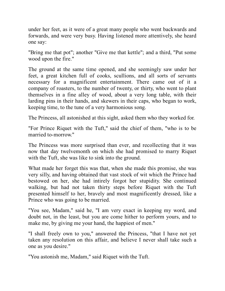under her feet, as it were of a great many people who went backwards and forwards, and were very busy. Having listened more attentively, she heard one say:

"Bring me that pot"; another "Give me that kettle"; and a third, "Put some wood upon the fire."

The ground at the same time opened, and she seemingly saw under her feet, a great kitchen full of cooks, scullions, and all sorts of servants necessary for a magnificent entertainment. There came out of it a company of roasters, to the number of twenty, or thirty, who went to plant themselves in a fine alley of wood, about a very long table, with their larding pins in their hands, and skewers in their caps, who began to work, keeping time, to the tune of a very harmonious song.

The Princess, all astonished at this sight, asked them who they worked for.

"For Prince Riquet with the Tuft," said the chief of them, "who is to be married to-morrow."

The Princess was more surprised than ever, and recollecting that it was now that day twelvemonth on which she had promised to marry Riquet with the Tuft, she was like to sink into the ground.

What made her forget this was that, when she made this promise, she was very silly, and having obtained that vast stock of wit which the Prince had bestowed on her, she had intirely forgot her stupidity. She continued walking, but had not taken thirty steps before Riquet with the Tuft presented himself to her, bravely and most magnificently dressed, like a Prince who was going to be married.

"You see, Madam," said he, "I am very exact in keeping my word, and doubt not, in the least, but you are come hither to perform yours, and to make me, by giving me your hand, the happiest of men."

"I shall freely own to you," answered the Princess, "that I have not yet taken any resolution on this affair, and believe I never shall take such a one as you desire."

"You astonish me, Madam," said Riquet with the Tuft.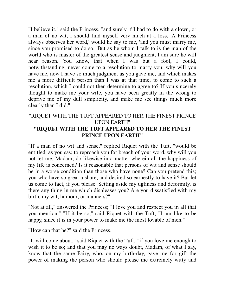"I believe it," said the Princess, "and surely if I had to do with a clown, or a man of no wit, I should find myself very much at a loss. 'A Princess always observes her word,' would he say to me, 'and you must marry me, since you promised to do so.' But as he whom I talk to is the man of the world who is master of the greatest sense and judgment, I am sure he will hear reason. You know, that when I was but a fool, I could, notwithstanding, never come to a resolution to marry you; why will you have me, now I have so much judgment as you gave me, and which makes me a more difficult person than I was at that time, to come to such a resolution, which I could not then determine to agree to? If you sincerely thought to make me your wife, you have been greatly in the wrong to deprive me of my dull simplicity, and make me see things much more clearly than I did."

#### "RIQUET WITH THE TUFT APPEARED TO HER THE FINEST PRINCE UPON EARTH" **"RIQUET WITH THE TUFT APPEARED TO HER THE FINEST PRINCE UPON EARTH"**

"If a man of no wit and sense," replied Riquet with the Tuft, "would be entitled, as you say, to reproach you for breach of your word, why will you not let me, Madam, do likewise in a matter wherein all the happiness of my life is concerned? Is it reasonable that persons of wit and sense should be in a worse condition than those who have none? Can you pretend this; you who have so great a share, and desired so earnestly to have it? But let us come to fact, if you please. Setting aside my ugliness and deformity, is there any thing in me which displeases you? Are you dissatisfied with my birth, my wit, humour, or manners?"

"Not at all," answered the Princess; "I love you and respect you in all that you mention." "If it be so," said Riquet with the Tuft, "I am like to be happy, since it is in your power to make me the most lovable of men."

"How can that be?" said the Princess.

"It will come about," said Riquet with the Tuft; "if you love me enough to wish it to be so; and that you may no ways doubt, Madam, of what I say, know that the same Fairy, who, on my birth-day, gave me for gift the power of making the person who should please me extremely witty and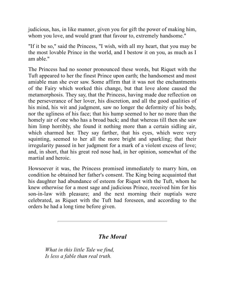judicious, has, in like manner, given you for gift the power of making him, whom you love, and would grant that favour to, extremely handsome."

"If it be so," said the Princess, "I wish, with all my heart, that you may be the most lovable Prince in the world, and I bestow it on you, as much as I am able."

The Princess had no sooner pronounced these words, but Riquet with the Tuft appeared to her the finest Prince upon earth; the handsomest and most amiable man she ever saw. Some affirm that it was not the enchantments of the Fairy which worked this change, but that love alone caused the metamorphosis. They say, that the Princess, having made due reflection on the perseverance of her lover, his discretion, and all the good qualities of his mind, his wit and judgment, saw no longer the deformity of his body, nor the ugliness of his face; that his hump seemed to her no more than the homely air of one who has a broad back; and that whereas till then she saw him limp horribly, she found it nothing more than a certain sidling air, which charmed her. They say farther, that his eyes, which were very squinting, seemed to her all the more bright and sparkling; that their irregularity passed in her judgment for a mark of a violent excess of love; and, in short, that his great red nose had, in her opinion, somewhat of the martial and heroic.

Howsoever it was, the Princess promised immediately to marry him, on condition he obtained her father's consent. The King being acquainted that his daughter had abundance of esteem for Riquet with the Tuft, whom he knew otherwise for a most sage and judicious Prince, received him for his son-in-law with pleasure; and the next morning their nuptials were celebrated, as Riquet with the Tuft had foreseen, and according to the orders he had a long time before given.

# *The Moral*

*What in this little Tale we find, Is less a fable than real truth.*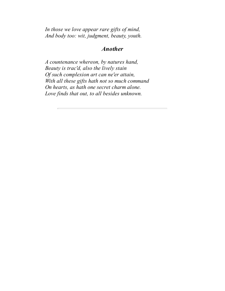*In those we love appear rare gifts of mind, And body too: wit, judgment, beauty, youth.*

### *Another*

*A countenance whereon, by natures hand, Beauty is trac'd, also the lively stain Of such complexion art can ne'er attain, With all these gifts hath not so much command On hearts, as hath one secret charm alone. Love finds that out, to all besides unknown.*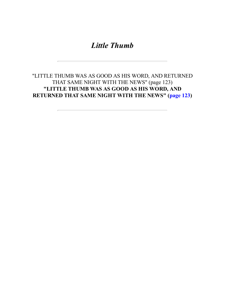*Little Thumb*

"LITTLE THUMB WAS AS GOOD AS HIS WORD, AND RETURNED THAT SAME NIGHT WITH THE NEWS" (page 123) **"LITTLE THUMB WAS AS GOOD AS HIS WORD, AND RETURNED THAT SAME NIGHT WITH THE NEWS" ([page 123\)](#page-78-0)**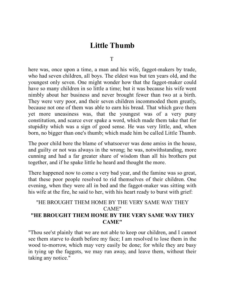# **Little Thumb**

T

here was, once upon a time, a man and his wife, faggot-makers by trade, who had seven children, all boys. The eldest was but ten years old, and the youngest only seven. One might wonder how that the faggot-maker could have so many children in so little a time; but it was because his wife went nimbly about her business and never brought fewer than two at a birth. They were very poor, and their seven children incommoded them greatly, because not one of them was able to earn his bread. That which gave them yet more uneasiness was, that the youngest was of a very puny constitution, and scarce ever spake a word, which made them take that for stupidity which was a sign of good sense. He was very little, and, when born, no bigger than one's thumb; which made him be called Little Thumb.

The poor child bore the blame of whatsoever was done amiss in the house, and guilty or not was always in the wrong; he was, notwithstanding, more cunning and had a far greater share of wisdom than all his brothers put together, and if he spake little he heard and thought the more.

There happened now to come a very bad year, and the famine was so great, that these poor people resolved to rid themselves of their children. One evening, when they were all in bed and the faggot-maker was sitting with his wife at the fire, he said to her, with his heart ready to burst with grief:

#### "HE BROUGHT THEM HOME BY THE VERY SAME WAY THEY CAME" **"HE BROUGHT THEM HOME BY THE VERY SAME WAY THEY CAME"**

"Thou see'st plainly that we are not able to keep our children, and I cannot see them starve to death before my face; I am resolved to lose them in the wood to-morrow, which may very easily be done; for while they are busy in tying up the faggots, we may run away, and leave them, without their taking any notice."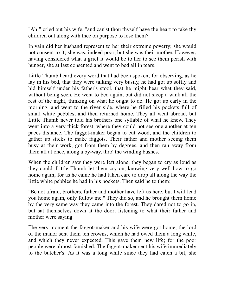"Ah!" cried out his wife, "and can'st thou thyself have the heart to take thy children out along with thee on purpose to lose them?"

In vain did her husband represent to her their extreme poverty; she would not consent to it; she was, indeed poor, but she was their mother. However, having considered what a grief it would be to her to see them perish with hunger, she at last consented and went to bed all in tears.

Little Thumb heard every word that had been spoken; for observing, as he lay in his bed, that they were talking very busily, he had got up softly and hid himself under his father's stool, that he might hear what they said, without being seen. He went to bed again, but did not sleep a wink all the rest of the night, thinking on what he ought to do. He got up early in the morning, and went to the river side, where he filled his pockets full of small white pebbles, and then returned home. They all went abroad, but Little Thumb never told his brothers one syllable of what he knew. They went into a very thick forest, where they could not see one another at ten paces distance. The faggot-maker began to cut wood, and the children to gather up sticks to make faggots. Their father and mother seeing them busy at their work, got from them by degrees, and then ran away from them all at once, along a by-way, thro' the winding bushes.

When the children saw they were left alone, they began to cry as loud as they could. Little Thumb let them cry on, knowing very well how to go home again; for as he came he had taken care to drop all along the way the little white pebbles he had in his pockets. Then said he to them:

"Be not afraid, brothers, father and mother have left us here, but I will lead you home again, only follow me." They did so, and he brought them home by the very same way they came into the forest. They dared not to go in, but sat themselves down at the door, listening to what their father and mother were saying.

The very moment the faggot-maker and his wife were got home, the lord of the manor sent them ten crowns, which he had owed them a long while, and which they never expected. This gave them new life; for the poor people were almost famished. The faggot-maker sent his wife immediately to the butcher's. As it was a long while since they had eaten a bit, she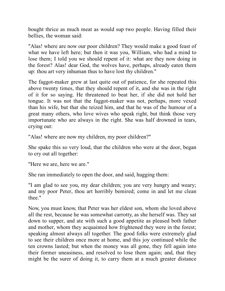bought thrice as much meat as would sup two people. Having filled their bellies, the woman said:

"Alas! where are now our poor children? They would make a good feast of what we have left here; but then it was you, William, who had a mind to lose them; I told you we should repent of it: what are they now doing in the forest? Alas! dear God, the wolves have, perhaps, already eaten them up: thou art very inhuman thus to have lost thy children."

The faggot-maker grew at last quite out of patience, for she repeated this above twenty times, that they should repent of it, and she was in the right of it for so saying. He threatened to beat her, if she did not hold her tongue. It was not that the faggot-maker was not, perhaps, more vexed than his wife, but that she teized him, and that he was of the humour of a great many others, who love wives who speak right, but think those very importunate who are always in the right. She was half drowned in tears, crying out:

"Alas! where are now my children, my poor children?"

She spake this so very loud, that the children who were at the door, began to cry out all together:

"Here we are, here we are."

She ran immediately to open the door, and said, hugging them:

"I am glad to see you, my dear children; you are very hungry and weary; and my poor Peter, thou art horribly bemired; come in and let me clean thee."

Now, you must know, that Peter was her eldest son, whom she loved above all the rest, because he was somewhat carrotty, as she herself was. They sat down to supper, and ate with such a good appetite as pleased both father and mother, whom they acquainted how frightened they were in the forest; speaking almost always all together. The good folks were extremely glad to see their children once more at home, and this joy continued while the ten crowns lasted; but when the money was all gone, they fell again into their former uneasiness, and resolved to lose them again; and, that they might be the surer of doing it, to carry them at a much greater distance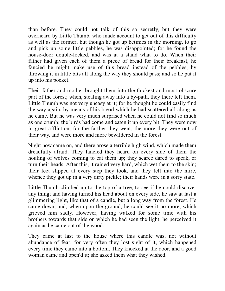than before. They could not talk of this so secretly, but they were overheard by Little Thumb, who made account to get out of this difficulty as well as the former; but though he got up betimes in the morning, to go and pick up some little pebbles, he was disappointed; for he found the house-door double-locked, and was at a stand what to do. When their father had given each of them a piece of bread for their breakfast, he fancied he might make use of this bread instead of the pebbles, by throwing it in little bits all along the way they should pass; and so he put it up into his pocket.

Their father and mother brought them into the thickest and most obscure part of the forest; when, stealing away into a by-path, they there left them. Little Thumb was not very uneasy at it; for he thought he could easily find the way again, by means of his bread which he had scattered all along as he came. But he was very much surprised when he could not find so much as one crumb; the birds had come and eaten it up every bit. They were now in great affliction, for the farther they went, the more they were out of their way, and were more and more bewildered in the forest.

Night now came on, and there arose a terrible high wind, which made them dreadfully afraid. They fancied they heard on every side of them the houling of wolves coming to eat them up; they scarce dared to speak, or turn their heads. After this, it rained very hard, which wet them to the skin; their feet slipped at every step they took, and they fell into the mire, whence they got up in a very dirty pickle; their hands were in a sorry state.

Little Thumb climbed up to the top of a tree, to see if he could discover any thing; and having turned his head about on every side, he saw at last a glimmering light, like that of a candle, but a long way from the forest. He came down, and, when upon the ground, he could see it no more, which grieved him sadly. However, having walked for some time with his brothers towards that side on which he had seen the light, he perceived it again as he came out of the wood.

They came at last to the house where this candle was, not without abundance of fear; for very often they lost sight of it, which happened every time they came into a bottom. They knocked at the door, and a good woman came and open'd it; she asked them what they wished.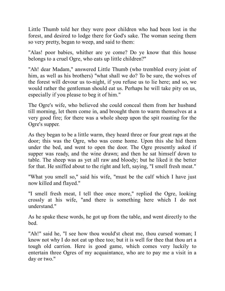Little Thumb told her they were poor children who had been lost in the forest, and desired to lodge there for God's sake. The woman seeing them so very pretty, began to weep, and said to them:

"Alas! poor babies, whither are ye come? Do ye know that this house belongs to a cruel Ogre, who eats up little children?"

"Ah! dear Madam," answered Little Thumb (who trembled every joint of him, as well as his brothers) "what shall we do? To be sure, the wolves of the forest will devour us to-night, if you refuse us to lie here; and so, we would rather the gentleman should eat us. Perhaps he will take pity on us, especially if you please to beg it of him."

The Ogre's wife, who believed she could conceal them from her husband till morning, let them come in, and brought them to warm themselves at a very good fire; for there was a whole sheep upon the spit roasting for the Ogre's supper.

As they began to be a little warm, they heard three or four great raps at the door; this was the Ogre, who was come home. Upon this she hid them under the bed, and went to open the door. The Ogre presently asked if supper was ready, and the wine drawn; and then he sat himself down to table. The sheep was as yet all raw and bloody; but he liked it the better for that. He sniffed about to the right and left, saying, "I smell fresh meat."

"What you smell so," said his wife, "must be the calf which I have just now killed and flayed."

"I smell fresh meat, I tell thee once more," replied the Ogre, looking crossly at his wife, "and there is something here which I do not understand."

As he spake these words, he got up from the table, and went directly to the bed.

"Ah!" said he, "I see how thou would'st cheat me, thou cursed woman; I know not why I do not eat up thee too; but it is well for thee that thou art a tough old carrion. Here is good game, which comes very luckily to entertain three Ogres of my acquaintance, who are to pay me a visit in a day or two."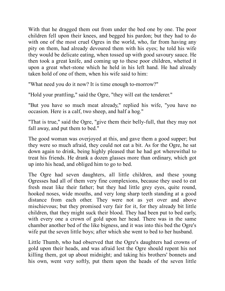With that he dragged them out from under the bed one by one. The poor children fell upon their knees, and begged his pardon; but they had to do with one of the most cruel Ogres in the world, who, far from having any pity on them, had already devoured them with his eyes; he told his wife they would be delicate eating, when tossed up with good savoury sauce. He then took a great knife, and coming up to these poor children, whetted it upon a great whet-stone which he held in his left hand. He had already taken hold of one of them, when his wife said to him:

"What need you do it now? It is time enough to-morrow?"

"Hold your prattling," said the Ogre, "they will eat the tenderer."

"But you have so much meat already," replied his wife, "you have no occasion. Here is a calf, two sheep, and half a hog."

"That is true," said the Ogre, "give them their belly-full, that they may not fall away, and put them to bed."

The good woman was overjoyed at this, and gave them a good supper; but they were so much afraid, they could not eat a bit. As for the Ogre, he sat down again to drink, being highly pleased that he had got wherewithal to treat his friends. He drank a dozen glasses more than ordinary, which got up into his head, and obliged him to go to bed.

The Ogre had seven daughters, all little children, and these young Ogresses had all of them very fine complexions, because they used to eat fresh meat like their father; but they had little grey eyes, quite round, hooked noses, wide mouths, and very long sharp teeth standing at a good distance from each other. They were not as yet over and above mischievous; but they promised very fair for it, for they already bit little children, that they might suck their blood. They had been put to bed early, with every one a crown of gold upon her head. There was in the same chamber another bed of the like bigness, and it was into this bed the Ogre's wife put the seven little boys; after which she went to bed to her husband.

Little Thumb, who had observed that the Ogre's daughters had crowns of gold upon their heads, and was afraid lest the Ogre should repent his not killing them, got up about midnight; and taking his brothers' bonnets and his own, went very softly, put them upon the heads of the seven little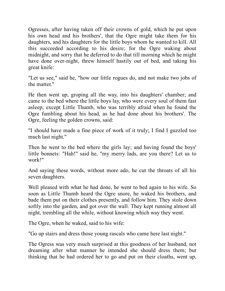Ogresses, after having taken off their crowns of gold, which he put upon his own head and his brothers', that the Ogre might take them for his daughters, and his daughters for the little boys whom he wanted to kill. All this succeeded according to his desire; for the Ogre waking about midnight, and sorry that he deferred to do that till morning which he might have done over-night, threw himself hastily out of bed, and taking his great knife:

"Let us see," said he, "how our little rogues do, and not make two jobs of the matter."

He then went up, groping all the way, into his daughters' chamber; and came to the bed where the little boys lay, who were every soul of them fast asleep; except Little Thumb, who was terribly afraid when he found the Ogre fumbling about his head, as he had done about his brothers'. The Ogre, feeling the golden crowns, said:

"I should have made a fine piece of work of it truly; I find I guzzled too much last night."

Then he went to the bed where the girls lay; and having found the boys' little bonnets: "Hah!" said he, "my merry lads, are you there? Let us to work!"

And saying these words, without more ado, he cut the throats of all his seven daughters.

Well pleased with what he had done, he went to bed again to his wife. So soon as Little Thumb heard the Ogre snore, he waked his brothers, and bade them put on their clothes presently, and follow him. They stole down softly into the garden, and got over the wall. They kept running almost all night, trembling all the while, without knowing which way they went.

The Ogre, when he waked, said to his wife:

"Go up stairs and dress those young rascals who came here last night."

The Ogress was very much surprised at this goodness of her husband, not dreaming after what manner he intended she should dress them; but thinking that he had ordered her to go and put on their cloaths, went up,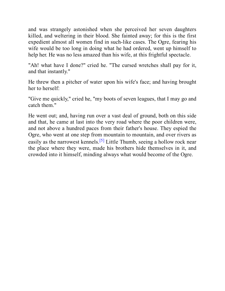and was strangely astonished when she perceived her seven daughters killed, and weltering in their blood. She fainted away; for this is the first expedient almost all women find in such-like cases. The Ogre, fearing his wife would be too long in doing what he had ordered, went up himself to help her. He was no less amazed than his wife, at this frightful spectacle.

"Ah! what have I done?" cried he. "The cursed wretches shall pay for it, and that instantly."

He threw then a pitcher of water upon his wife's face; and having brought her to herself:

"Give me quickly," cried he, "my boots of seven leagues, that I may go and catch them."

<span id="page-77-0"></span>He went out; and, having run over a vast deal of ground, both on this side and that, he came at last into the very road where the poor children were, and not above a hundred paces from their father's house. They espied the Ogre, who went at one step from mountain to mountain, and over rivers as easily as the narrowest kennels.<sup>[\[5\]](#page-78-0)</sup> Little Thumb, seeing a hollow rock near the place where they were, made his brothers hide themselves in it, and crowded into it himself, minding always what would become of the Ogre.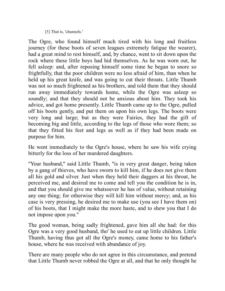### <span id="page-78-0"></span>[\[5\]](#page-77-0) That is, 'channels.'

The Ogre, who found himself much tired with his long and fruitless journey (for these boots of seven leagues extremely fatigue the wearer), had a great mind to rest himself, and, by chance, went to sit down upon the rock where these little boys had hid themselves. As he was worn out, he fell asleep: and, after reposing himself some time he began to snore so frightfully, that the poor children were no less afraid of him, than when he held up his great knife, and was going to cut their throats. Little Thumb was not so much frightened as his brothers, and told them that they should run away immediately towards home, while the Ogre was asleep so soundly; and that they should not be anxious about him. They took his advice, and got home presently. Little Thumb came up to the Ogre, pulled off his boots gently, and put them on upon his own legs. The boots were very long and large; but as they were Fairies, they had the gift of becoming big and little, according to the legs of those who wore them; so that they fitted his feet and legs as well as if they had been made on purpose for him.

He went immediately to the Ogre's house, where he saw his wife crying bitterly for the loss of her murdered daughters.

"Your husband," said Little Thumb, "is in very great danger, being taken by a gang of thieves, who have sworn to kill him, if he does not give them all his gold and silver. Just when they held their daggers at his throat, he perceived me, and desired me to come and tell you the condition he is in, and that you should give me whatsoever he has of value, without retaining any one thing; for otherwise they will kill him without mercy; and, as his case is very pressing, he desired me to make use (you see I have them on) of his boots, that I might make the more haste, and to shew you that I do not impose upon you."

The good woman, being sadly frightened, gave him all she had: for this Ogre was a very good husband, tho' he used to eat up little children. Little Thumb, having thus got all the Ogre's money, came home to his father's house, where he was received with abundance of joy.

There are many people who do not agree in this circumstance, and pretend that Little Thumb never robbed the Ogre at all, and that he only thought he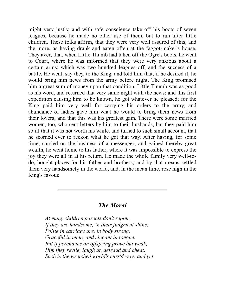might very justly, and with safe conscience take off his boots of seven leagues, because he made no other use of them, but to run after little children. These folks affirm, that they were very well assured of this, and the more, as having drank and eaten often at the faggot-maker's house. They aver, that, when Little Thumb had taken off the Ogre's boots, he went to Court, where he was informed that they were very anxious about a certain army, which was two hundred leagues off, and the success of a battle. He went, say they, to the King, and told him that, if he desired it, he would bring him news from the army before night. The King promised him a great sum of money upon that condition. Little Thumb was as good as his word, and returned that very same night with the news; and this first expedition causing him to be known, he got whatever he pleased; for the King paid him very well for carrying his orders to the army, and abundance of ladies gave him what he would to bring them news from their lovers; and that this was his greatest gain. There were some married women, too, who sent letters by him to their husbands, but they paid him so ill that it was not worth his while, and turned to such small account, that he scorned ever to reckon what he got that way. After having, for some time, carried on the business of a messenger, and gained thereby great wealth, he went home to his father, where it was impossible to express the joy they were all in at his return. He made the whole family very well-todo, bought places for his father and brothers; and by that means settled them very handsomely in the world, and, in the mean time, rose high in the King's favour.

### *The Moral*

*At many children parents don't repine, If they are handsome; in their judgment shine; Polite in carriage are, in body strong, Graceful in mien, and elegant in tongue. But if perchance an offspring prove but weak, Him they revile, laugh at, defraud and cheat. Such is the wretched world's curs'd way; and yet*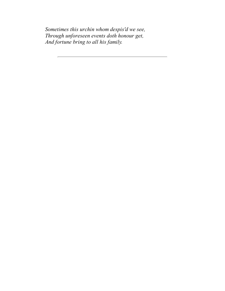*Sometimes this urchin whom despis'd we see, Through unforeseen events doth honour get, And fortune bring to all his family.*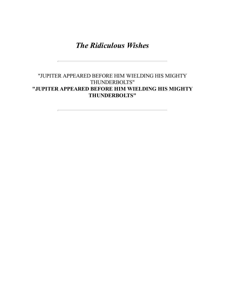*The Ridiculous Wishes*

## "JUPITER APPEARED BEFORE HIM WIELDING HIS MIGHTY THUNDERBOLTS" **"JUPITER APPEARED BEFORE HIM WIELDING HIS MIGHTY THUNDERBOLTS"**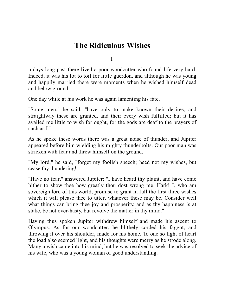# **The Ridiculous Wishes**

I

n days long past there lived a poor woodcutter who found life very hard. Indeed, it was his lot to toil for little guerdon, and although he was young and happily married there were moments when he wished himself dead and below ground.

One day while at his work he was again lamenting his fate.

"Some men," he said, "have only to make known their desires, and straightway these are granted, and their every wish fulfilled; but it has availed me little to wish for ought, for the gods are deaf to the prayers of such as I."

As he spoke these words there was a great noise of thunder, and Jupiter appeared before him wielding his mighty thunderbolts. Our poor man was stricken with fear and threw himself on the ground.

"My lord," he said, "forget my foolish speech; heed not my wishes, but cease thy thundering!"

"Have no fear," answered Jupiter; "I have heard thy plaint, and have come hither to show thee how greatly thou dost wrong me. Hark! I, who am sovereign lord of this world, promise to grant in full the first three wishes which it will please thee to utter, whatever these may be. Consider well what things can bring thee joy and prosperity, and as thy happiness is at stake, be not over-hasty, but revolve the matter in thy mind."

Having thus spoken Jupiter withdrew himself and made his ascent to Olympus. As for our woodcutter, he blithely corded his faggot, and throwing it over his shoulder, made for his home. To one so light of heart the load also seemed light, and his thoughts were merry as he strode along. Many a wish came into his mind, but he was resolved to seek the advice of his wife, who was a young woman of good understanding.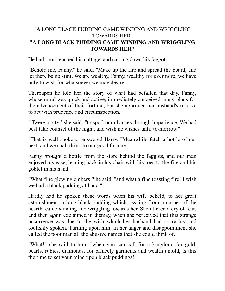## "A LONG BLACK PUDDING CAME WINDING AND WRIGGLING TOWARDS HER" **"A LONG BLACK PUDDING CAME WINDING AND WRIGGLING TOWARDS HER"**

He had soon reached his cottage, and casting down his faggot:

"Behold me, Fanny," he said. "Make up the fire and spread the board, and let there be no stint. We are wealthy, Fanny, wealthy for evermore; we have only to wish for whatsoever we may desire."

Thereupon he told her the story of what had befallen that day. Fanny, whose mind was quick and active, immediately conceived many plans for the advancement of their fortune, but she approved her husband's resolve to act with prudence and circumspection.

"'Twere a pity," she said, "to spoil our chances through impatience. We had best take counsel of the night, and wish no wishes until to-morrow."

"That is well spoken," answered Harry. "Meanwhile fetch a bottle of our best, and we shall drink to our good fortune."

Fanny brought a bottle from the store behind the faggots, and our man enjoyed his ease, leaning back in his chair with his toes to the fire and his goblet in his hand.

"What fine glowing embers!" he said, "and what a fine toasting fire! I wish we had a black pudding at hand."

Hardly had he spoken these words when his wife beheld, to her great astonishment, a long black pudding which, issuing from a corner of the hearth, came winding and wriggling towards her. She uttered a cry of fear, and then again exclaimed in dismay, when she perceived that this strange occurrence was due to the wish which her husband had so rashly and foolishly spoken. Turning upon him, in her anger and disappointment she called the poor man all the abusive names that she could think of.

"What!" she said to him, "when you can call for a kingdom, for gold, pearls, rubies, diamonds, for princely garments and wealth untold, is this the time to set your mind upon black puddings!"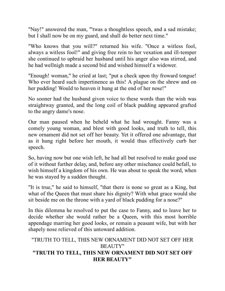"Nay!" answered the man, "'twas a thoughtless speech, and a sad mistake; but I shall now be on my guard, and shall do better next time."

"Who knows that you will?" returned his wife. "Once a witless fool, always a witless fool!" and giving free rein to her vexation and ill-temper she continued to upbraid her husband until his anger also was stirred, and he had wellnigh made a second bid and wished himself a widower.

"Enough! woman," he cried at last; "put a check upon thy froward tongue! Who ever heard such impertinence as this! A plague on the shrew and on her pudding! Would to heaven it hung at the end of her nose!"

No sooner had the husband given voice to these words than the wish was straightway granted, and the long coil of black pudding appeared grafted to the angry dame's nose.

Our man paused when he beheld what he had wrought. Fanny was a comely young woman, and blest with good looks, and truth to tell, this new ornament did not set off her beauty. Yet it offered one advantage, that as it hung right before her mouth, it would thus effectively curb her speech.

So, having now but one wish left, he had all but resolved to make good use of it without further delay, and, before any other mischance could befall, to wish himself a kingdom of his own. He was about to speak the word, when he was stayed by a sudden thought.

"It is true," he said to himself, "that there is none so great as a King, but what of the Queen that must share his dignity? With what grace would she sit beside me on the throne with a yard of black pudding for a nose?"

In this dilemma he resolved to put the case to Fanny, and to leave her to decide whether she would rather be a Queen, with this most horrible appendage marring her good looks, or remain a peasant wife, but with her shapely nose relieved of this untoward addition.

## "TRUTH TO TELL, THIS NEW ORNAMENT DID NOT SET OFF HER BEAUTY" **"TRUTH TO TELL, THIS NEW ORNAMENT DID NOT SET OFF HER BEAUTY"**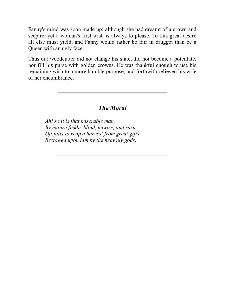Fanny's mind was soon made up: although she had dreamt of a crown and sceptre, yet a woman's first wish is always to please. To this great desire all else must yield, and Fanny would rather be fair in drugget than be a Queen with an ugly face.

Thus our woodcutter did not change his state, did not become a potentate, nor fill his purse with golden crowns. He was thankful enough to use his remaining wish to a more humble purpose, and forthwith relieved his wife of her encumbrance.

## *The Moral*

*Ah! so it is that miserable man, By nature fickle, blind, unwise, and rash, Oft fails to reap a harvest from great gifts Bestowed upon him by the heav'nly gods.*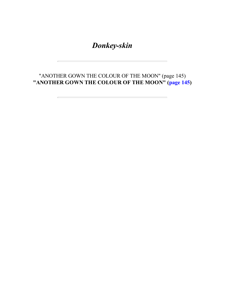*Donkey-skin*

## "ANOTHER GOWN THE COLOUR OF THE MOON" (page 145) **"ANOTHER GOWN THE COLOUR OF THE MOON" [\(page 145\)](#page-89-0)**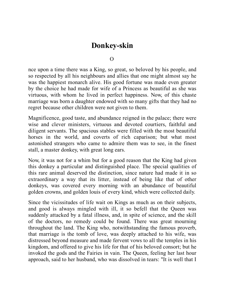# **Donkey-skin**

 $\Omega$ 

nce upon a time there was a King, so great, so beloved by his people, and so respected by all his neighbours and allies that one might almost say he was the happiest monarch alive. His good fortune was made even greater by the choice he had made for wife of a Princess as beautiful as she was virtuous, with whom he lived in perfect happiness. Now, of this chaste marriage was born a daughter endowed with so many gifts that they had no regret because other children were not given to them.

Magnificence, good taste, and abundance reigned in the palace; there were wise and clever ministers, virtuous and devoted courtiers, faithful and diligent servants. The spacious stables were filled with the most beautiful horses in the world, and coverts of rich caparison; but what most astonished strangers who came to admire them was to see, in the finest stall, a master donkey, with great long ears.

Now, it was not for a whim but for a good reason that the King had given this donkey a particular and distinguished place. The special qualities of this rare animal deserved the distinction, since nature had made it in so extraordinary a way that its litter, instead of being like that of other donkeys, was covered every morning with an abundance of beautiful golden crowns, and golden louis of every kind, which were collected daily.

Since the vicissitudes of life wait on Kings as much as on their subjects, and good is always mingled with ill, it so befell that the Queen was suddenly attacked by a fatal illness, and, in spite of science, and the skill of the doctors, no remedy could be found. There was great mourning throughout the land. The King who, notwithstanding the famous proverb, that marriage is the tomb of love, was deeply attached to his wife, was distressed beyond measure and made fervent vows to all the temples in his kingdom, and offered to give his life for that of his beloved consort; but he invoked the gods and the Fairies in vain. The Queen, feeling her last hour approach, said to her husband, who was dissolved in tears: "It is well that I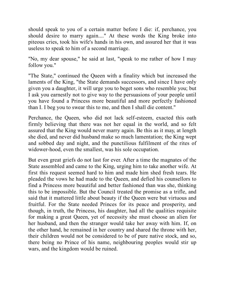should speak to you of a certain matter before I die: if, perchance, you should desire to marry again...." At these words the King broke into piteous cries, took his wife's hands in his own, and assured her that it was useless to speak to him of a second marriage.

"No, my dear spouse," he said at last, "speak to me rather of how I may follow you."

"The State," continued the Queen with a finality which but increased the laments of the King, "the State demands successors, and since I have only given you a daughter, it will urge you to beget sons who resemble you; but I ask you earnestly not to give way to the persuasions of your people until you have found a Princess more beautiful and more perfectly fashioned than I. I beg you to swear this to me, and then I shall die content."

Perchance, the Queen, who did not lack self-esteem, exacted this oath firmly believing that there was not her equal in the world, and so felt assured that the King would never marry again. Be this as it may, at length she died, and never did husband make so much lamentation; the King wept and sobbed day and night, and the punctilious fulfilment of the rites of widower-hood, even the smallest, was his sole occupation.

But even great griefs do not last for ever. After a time the magnates of the State assembled and came to the King, urging him to take another wife. At first this request seemed hard to him and made him shed fresh tears. He pleaded the vows he had made to the Queen, and defied his counsellors to find a Princess more beautiful and better fashioned than was she, thinking this to be impossible. But the Council treated the promise as a trifle, and said that it mattered little about beauty if the Queen were but virtuous and fruitful. For the State needed Princes for its peace and prosperity, and though, in truth, the Princess, his daughter, had all the qualities requisite for making a great Queen, yet of necessity she must choose an alien for her husband, and then the stranger would take her away with him. If, on the other hand, he remained in her country and shared the throne with her, their children would not be considered to be of pure native stock, and so, there being no Prince of his name, neighbouring peoples would stir up wars, and the kingdom would be ruined.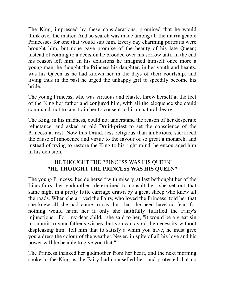The King, impressed by these considerations, promised that he would think over the matter. And so search was made among all the marriageable Princesses for one that would suit him. Every day charming portraits were brought him, but none gave promise of the beauty of his late Queen; instead of coming to a decision he brooded over his sorrow until in the end his reason left him. In his delusions he imagined himself once more a young man; he thought the Princess his daughter, in her youth and beauty, was his Queen as he had known her in the days of their courtship, and living thus in the past he urged the unhappy girl to speedily become his bride.

The young Princess, who was virtuous and chaste, threw herself at the feet of the King her father and conjured him, with all the eloquence she could command, not to constrain her to consent to his unnatural desire.

The King, in his madness, could not understand the reason of her desperate reluctance, and asked an old Druid-priest to set the conscience of the Princess at rest. Now this Druid, less religious than ambitious, sacrificed the cause of innocence and virtue to the favour of so great a monarch, and instead of trying to restore the King to his right mind, he encouraged him in his delusion.

## <span id="page-89-0"></span>"HE THOUGHT THE PRINCESS WAS HIS QUEEN" **"HE THOUGHT THE PRINCESS WAS HIS QUEEN"**

The young Princess, beside herself with misery, at last bethought her of the Lilac-fairy, her godmother; determined to consult her, she set out that same night in a pretty little carriage drawn by a great sheep who knew all the roads. When she arrived the Fairy, who loved the Princess, told her that she knew all she had come to say, but that she need have no fear, for nothing would harm her if only she faithfully fulfilled the Fairy's injunctions. "For, my dear child," she said to her, "it would be a great sin to submit to your father's wishes, but you can avoid the necessity without displeasing him. Tell him that to satisfy a whim you have, he must give you a dress the colour of the weather. Never, in spite of all his love and his power will he be able to give you that."

The Princess thanked her godmother from her heart, and the next morning spoke to the King as the Fairy had counselled her, and protested that no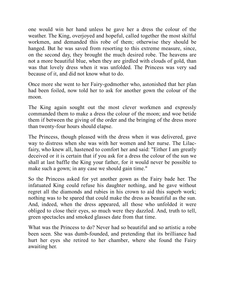one would win her hand unless he gave her a dress the colour of the weather. The King, overjoyed and hopeful, called together the most skilful workmen, and demanded this robe of them; otherwise they should be hanged. But he was saved from resorting to this extreme measure, since, on the second day, they brought the much desired robe. The heavens are not a more beautiful blue, when they are girdled with clouds of gold, than was that lovely dress when it was unfolded. The Princess was very sad because of it, and did not know what to do.

Once more she went to her Fairy-godmother who, astonished that her plan had been foiled, now told her to ask for another gown the colour of the moon.

The King again sought out the most clever workmen and expressly commanded them to make a dress the colour of the moon; and woe betide them if between the giving of the order and the bringing of the dress more than twenty-four hours should elapse.

The Princess, though pleased with the dress when it was delivered, gave way to distress when she was with her women and her nurse. The Lilacfairy, who knew all, hastened to comfort her and said: "Either I am greatly deceived or it is certain that if you ask for a dress the colour of the sun we shall at last baffle the King your father, for it would never be possible to make such a gown; in any case we should gain time."

So the Princess asked for yet another gown as the Fairy bade her. The infatuated King could refuse his daughter nothing, and he gave without regret all the diamonds and rubies in his crown to aid this superb work; nothing was to be spared that could make the dress as beautiful as the sun. And, indeed, when the dress appeared, all those who unfolded it were obliged to close their eyes, so much were they dazzled. And, truth to tell, green spectacles and smoked glasses date from that time.

What was the Princess to do? Never had so beautiful and so artistic a robe been seen. She was dumb-founded, and pretending that its brilliance had hurt her eyes she retired to her chamber, where she found the Fairy awaiting her.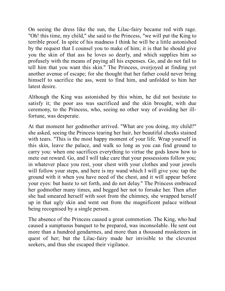On seeing the dress like the sun, the Lilac-fairy became red with rage. "Oh! this time, my child," she said to the Princess, "we will put the King to terrible proof. In spite of his madness I think he will be a little astonished by the request that I counsel you to make of him; it is that he should give you the skin of that ass he loves so dearly, and which supplies him so profusely with the means of paying all his expenses. Go, and do not fail to tell him that you want this skin." The Princess, overjoyed at finding yet another avenue of escape; for she thought that her father could never bring himself to sacrifice the ass, went to find him, and unfolded to him her latest desire.

Although the King was astonished by this whim, he did not hesitate to satisfy it; the poor ass was sacrificed and the skin brought, with due ceremony, to the Princess, who, seeing no other way of avoiding her illfortune, was desperate.

At that moment her godmother arrived. "What are you doing, my child?" she asked, seeing the Princess tearing her hair, her beautiful cheeks stained with tears. "This is the most happy moment of your life. Wrap yourself in this skin, leave the palace, and walk so long as you can find ground to carry you: when one sacrifices everything to virtue the gods know how to mete out reward. Go, and I will take care that your possessions follow you; in whatever place you rest, your chest with your clothes and your jewels will follow your steps, and here is my wand which I will give you: tap the ground with it when you have need of the chest, and it will appear before your eyes: but haste to set forth, and do not delay." The Princess embraced her godmother many times, and begged her not to forsake her. Then after she had smeared herself with soot from the chimney, she wrapped herself up in that ugly skin and went out from the magnificent palace without being recognised by a single person.

The absence of the Princess caused a great commotion. The King, who had caused a sumptuous banquet to be prepared, was inconsolable. He sent out more than a hundred gendarmes, and more than a thousand musketeers in quest of her; but the Lilac-fairy made her invisible to the cleverest seekers, and thus she escaped their vigilance.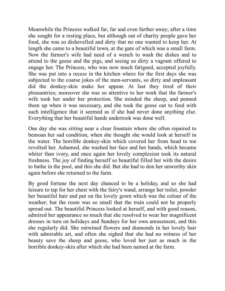Meanwhile the Princess walked far, far and even farther away; after a time she sought for a resting place, but although out of charity people gave her food, she was so dishevelled and dirty that no one wanted to keep her. At length she came to a beautiful town, at the gate of which was a small farm. Now the farmer's wife had need of a wench to wash the dishes and to attend to the geese and the pigs, and seeing so dirty a vagrant offered to engage her. The Princess, who was now much fatigued, accepted joyfully. She was put into a recess in the kitchen where for the first days she was subjected to the coarse jokes of the men-servants, so dirty and unpleasant did the donkey-skin make her appear. At last they tired of their pleasantries; moreover she was so attentive to her work that the farmer's wife took her under her protection. She minded the sheep, and penned them up when it was necessary, and she took the geese out to feed with such intelligence that it seemed as if she had never done anything else. Everything that her beautiful hands undertook was done well.

One day she was sitting near a clear fountain where she often repaired to bemoan her sad condition, when she thought she would look at herself in the water. The horrible donkey-skin which covered her from head to toe revolted her. Ashamed, she washed her face and her hands, which became whiter than ivory, and once again her lovely complexion took its natural freshness. The joy of finding herself so beautiful filled her with the desire to bathe in the pool, and this she did. But she had to don her unworthy skin again before she returned to the farm.

By good fortune the next day chanced to be a holiday, and so she had leisure to tap for her chest with the fairy's wand, arrange her toilet, powder her beautiful hair and put on the lovely gown which was the colour of the weather; but the room was so small that the train could not be properly spread out. The beautiful Princess looked at herself, and with good reason, admired her appearance so much that she resolved to wear her magnificent dresses in turn on holidays and Sundays for her own amusement, and this she regularly did. She entwined flowers and diamonds in her lovely hair with admirable art, and often she sighed that she had no witness of her beauty save the sheep and geese, who loved her just as much in the horrible donkey-skin after which she had been named at the farm.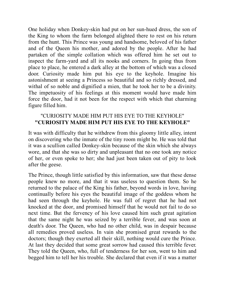One holiday when Donkey-skin had put on her sun-hued dress, the son of the King to whom the farm belonged alighted there to rest on his return from the hunt. This Prince was young and handsome, beloved of his father and of the Queen his mother, and adored by the people. After he had partaken of the simple collation which was offered him he set out to inspect the farm-yard and all its nooks and corners. In going thus from place to place, he entered a dark alley at the bottom of which was a closed door. Curiosity made him put his eye to the keyhole. Imagine his astonishment at seeing a Princess so beautiful and so richly dressed, and withal of so noble and dignified a mien, that he took her to be a divinity. The impetuosity of his feelings at this moment would have made him force the door, had it not been for the respect with which that charming figure filled him.

## "CURIOSITY MADE HIM PUT HIS EYE TO THE KEYHOLE" **"CURIOSITY MADE HIM PUT HIS EYE TO THE KEYHOLE"**

It was with difficulty that he withdrew from this gloomy little alley, intent on discovering who the inmate of the tiny room might be. He was told that it was a scullion called Donkey-skin because of the skin which she always wore, and that she was so dirty and unpleasant that no one took any notice of her, or even spoke to her; she had just been taken out of pity to look after the geese.

The Prince, though little satisfied by this information, saw that these dense people knew no more, and that it was useless to question them. So he returned to the palace of the King his father, beyond words in love, having continually before his eyes the beautiful image of the goddess whom he had seen through the keyhole. He was full of regret that he had not knocked at the door, and promised himself that he would not fail to do so next time. But the fervency of his love caused him such great agitation that the same night he was seized by a terrible fever, and was soon at death's door. The Queen, who had no other child, was in despair because all remedies proved useless. In vain she promised great rewards to the doctors; though they exerted all their skill, nothing would cure the Prince. At last they decided that some great sorrow had caused this terrible fever. They told the Queen, who, full of tenderness for her son, went to him and begged him to tell her his trouble. She declared that even if it was a matter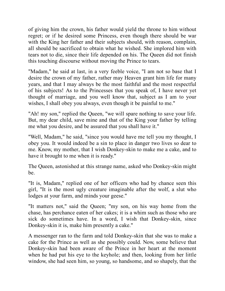of giving him the crown, his father would yield the throne to him without regret; or if he desired some Princess, even though there should be war with the King her father and their subjects should, with reason, complain, all should be sacrificed to obtain what he wished. She implored him with tears not to die, since their life depended on his. The Queen did not finish this touching discourse without moving the Prince to tears.

"Madam," he said at last, in a very feeble voice, "I am not so base that I desire the crown of my father, rather may Heaven grant him life for many years, and that I may always be the most faithful and the most respectful of his subjects! As to the Princesses that you speak of, I have never yet thought of marriage, and you well know that, subject as I am to your wishes, I shall obey you always, even though it be painful to me."

"Ah! my son," replied the Queen, "we will spare nothing to save your life. But, my dear child, save mine and that of the King your father by telling me what you desire, and be assured that you shall have it."

"Well, Madam," he said, "since you would have me tell you my thought, I obey you. It would indeed be a sin to place in danger two lives so dear to me. Know, my mother, that I wish Donkey-skin to make me a cake, and to have it brought to me when it is ready."

The Queen, astonished at this strange name, asked who Donkey-skin might be.

"It is, Madam," replied one of her officers who had by chance seen this girl, "It is the most ugly creature imaginable after the wolf, a slut who lodges at your farm, and minds your geese."

"It matters not," said the Queen; "my son, on his way home from the chase, has perchance eaten of her cakes; it is a whim such as those who are sick do sometimes have. In a word, I wish that Donkey-skin, since Donkey-skin it is, make him presently a cake."

A messenger ran to the farm and told Donkey-skin that she was to make a cake for the Prince as well as she possibly could. Now, some believe that Donkey-skin had been aware of the Prince in her heart at the moment when he had put his eye to the keyhole; and then, looking from her little window, she had seen him, so young, so handsome, and so shapely, that the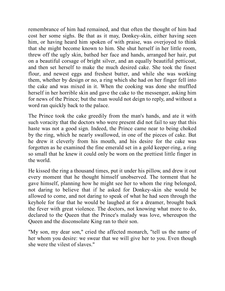remembrance of him had remained, and that often the thought of him had cost her some sighs. Be that as it may, Donkey-skin, either having seen him, or having heard him spoken of with praise, was overjoyed to think that she might become known to him. She shut herself in her little room, threw off the ugly skin, bathed her face and hands, arranged her hair, put on a beautiful corsage of bright silver, and an equally beautiful petticoat, and then set herself to make the much desired cake. She took the finest flour, and newest eggs and freshest butter, and while she was working them, whether by design or no, a ring which she had on her finger fell into the cake and was mixed in it. When the cooking was done she muffled herself in her horrible skin and gave the cake to the messenger, asking him for news of the Prince; but the man would not deign to reply, and without a word ran quickly back to the palace.

The Prince took the cake greedily from the man's hands, and ate it with such voracity that the doctors who were present did not fail to say that this haste was not a good sign. Indeed, the Prince came near to being choked by the ring, which he nearly swallowed, in one of the pieces of cake. But he drew it cleverly from his mouth, and his desire for the cake was forgotten as he examined the fine emerald set in a gold keeper-ring, a ring so small that he knew it could only be worn on the prettiest little finger in the world.

He kissed the ring a thousand times, put it under his pillow, and drew it out every moment that he thought himself unobserved. The torment that he gave himself, planning how he might see her to whom the ring belonged, not daring to believe that if he asked for Donkey-skin she would be allowed to come, and not daring to speak of what he had seen through the keyhole for fear that he would be laughed at for a dreamer, brought back the fever with great violence. The doctors, not knowing what more to do, declared to the Queen that the Prince's malady was love, whereupon the Queen and the disconsolate King ran to their son.

"My son, my dear son," cried the affected monarch, "tell us the name of her whom you desire: we swear that we will give her to you. Even though she were the vilest of slaves."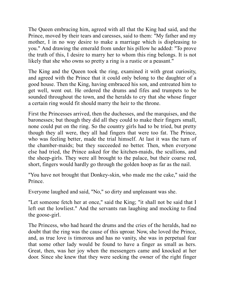The Queen embracing him, agreed with all that the King had said, and the Prince, moved by their tears and caresses, said to them: "My father and my mother, I in no way desire to make a marriage which is displeasing to you." And drawing the emerald from under his pillow he added: "To prove the truth of this, I desire to marry her to whom this ring belongs. It is not likely that she who owns so pretty a ring is a rustic or a peasant."

The King and the Queen took the ring, examined it with great curiosity, and agreed with the Prince that it could only belong to the daughter of a good house. Then the King, having embraced his son, and entreated him to get well, went out. He ordered the drums and fifes and trumpets to be sounded throughout the town, and the heralds to cry that she whose finger a certain ring would fit should marry the heir to the throne.

First the Princesses arrived, then the duchesses, and the marquises, and the baronesses; but though they did all they could to make their fingers small, none could put on the ring. So the country girls had to be tried, but pretty though they all were, they all had fingers that were too fat. The Prince, who was feeling better, made the trial himself. At last it was the turn of the chamber-maids; but they succeeded no better. Then, when everyone else had tried, the Prince asked for the kitchen-maids, the scullions, and the sheep-girls. They were all brought to the palace, but their coarse red, short, fingers would hardly go through the golden hoop as far as the nail.

"You have not brought that Donkey-skin, who made me the cake," said the Prince.

Everyone laughed and said, "No," so dirty and unpleasant was she.

"Let someone fetch her at once," said the King; "it shall not be said that I left out the lowliest." And the servants ran laughing and mocking to find the goose-girl.

The Princess, who had heard the drums and the cries of the heralds, had no doubt that the ring was the cause of this uproar. Now, she loved the Prince, and, as true love is timorous and has no vanity, she was in perpetual fear that some other lady would be found to have a finger as small as hers. Great, then, was her joy when the messengers came and knocked at her door. Since she knew that they were seeking the owner of the right finger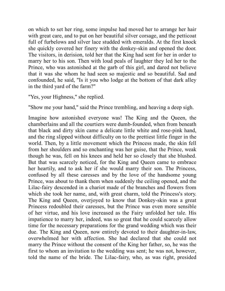on which to set her ring, some impulse had moved her to arrange her hair with great care, and to put on her beautiful silver corsage, and the petticoat full of furbelows and silver lace studded with emeralds. At the first knock she quickly covered her finery with the donkey-skin and opened the door. The visitors, in derision, told her that the King had sent for her in order to marry her to his son. Then with loud peals of laughter they led her to the Prince, who was astonished at the garb of this girl, and dared not believe that it was she whom he had seen so majestic and so beautiful. Sad and confounded, he said, "Is it you who lodge at the bottom of that dark alley in the third yard of the farm?"

"Yes, your Highness," she replied.

"Show me your hand," said the Prince trembling, and heaving a deep sigh.

Imagine how astonished everyone was! The King and the Queen, the chamberlains and all the courtiers were dumb-founded, when from beneath that black and dirty skin came a delicate little white and rose-pink hand, and the ring slipped without difficulty on to the prettiest little finger in the world. Then, by a little movement which the Princess made, the skin fell from her shoulders and so enchanting was her guise, that the Prince, weak though he was, fell on his knees and held her so closely that she blushed. But that was scarcely noticed, for the King and Queen came to embrace her heartily, and to ask her if she would marry their son. The Princess, confused by all these caresses and by the love of the handsome young Prince, was about to thank them when suddenly the ceiling opened, and the Lilac-fairy descended in a chariot made of the branches and flowers from which she took her name, and, with great charm, told the Princess's story. The King and Queen, overjoyed to know that Donkey-skin was a great Princess redoubled their caresses, but the Prince was even more sensible of her virtue, and his love increased as the Fairy unfolded her tale. His impatience to marry her, indeed, was so great that he could scarcely allow time for the necessary preparations for the grand wedding which was their due. The King and Queen, now entirely devoted to their daughter-in-law, overwhelmed her with affection. She had declared that she could not marry the Prince without the consent of the King her father, so, he was the first to whom an invitation to the wedding was sent; he was not, however, told the name of the bride. The Lilac-fairy, who, as was right, presided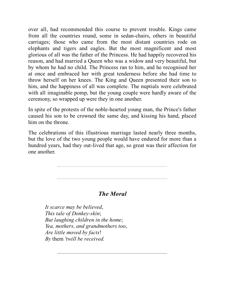over all, had recommended this course to prevent trouble. Kings came from all the countries round, some in sedan-chairs, others in beautiful carriages; those who came from the most distant countries rode on elephants and tigers and eagles. But the most magnificent and most glorious of all was the father of the Princess. He had happily recovered his reason, and had married a Queen who was a widow and very beautiful, but by whom he had no child. The Princess ran to him, and he recognised her at once and embraced her with great tenderness before she had time to throw herself on her knees. The King and Queen presented their son to him, and the happiness of all was complete. The nuptials were celebrated with all imaginable pomp, but the young couple were hardly aware of the ceremony, so wrapped up were they in one another.

In spite of the protests of the noble-hearted young man, the Prince's father caused his son to be crowned the same day, and kissing his hand, placed him on the throne.

The celebrations of this illustrious marriage lasted nearly three months, but the love of the two young people would have endured for more than a hundred years, had they out-lived that age, so great was their affection for one another.

## *The Moral*

*It scarce may be believed*, *This tale of Donkey-skin*; *But laughing children in the home*; *Yea, mothers, and grandmothers too*, *Are little moved by facts*! *By* them *'twill be received.*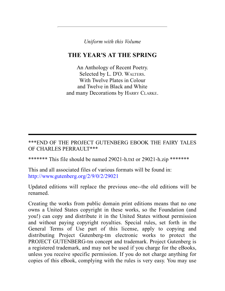*Uniform with this Volume*

## **THE YEAR'S AT THE SPRING**

An Anthology of Recent Poetry. Selected by L. D'O. WALTERS. With Twelve Plates in Colour and Twelve in Black and White and many Decorations by HARRY CLARKE.

\*\*\*END OF THE PROJECT GUTENBERG EBOOK THE FAIRY TALES OF CHARLES PERRAULT\*\*\*

\*\*\*\*\*\*\* This file should be named 29021-h.txt or 29021-h.zip \*\*\*\*\*\*\*

This and all associated files of various formats will be found in: [http://www.gutenberg.org/2/9/0/2/29021](http://www.gutenberg.org/dirs/2/9/0/2/29021)

Updated editions will replace the previous one--the old editions will be renamed.

Creating the works from public domain print editions means that no one owns a United States copyright in these works, so the Foundation (and you!) can copy and distribute it in the United States without permission and without paying copyright royalties. Special rules, set forth in the General Terms of Use part of this license, apply to copying and distributing Project Gutenberg-tm electronic works to protect the PROJECT GUTENBERG-tm concept and trademark. Project Gutenberg is a registered trademark, and may not be used if you charge for the eBooks, unless you receive specific permission. If you do not charge anything for copies of this eBook, complying with the rules is very easy. You may use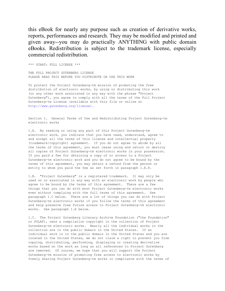this eBook for nearly any purpose such as creation of derivative works, reports, performances and research. They may be modified and printed and given away--you may do practically ANYTHING with public domain eBooks. Redistribution is subject to the trademark license, especially commercial redistribution.

THE FULL PROJECT GUTENBERG LICENSE PLEASE READ THIS BEFORE YOU DISTRIBUTE OR USE THIS WORK

\*\*\* START: FULL LICENSE \*\*\*

To protect the Project Gutenberg-tm mission of promoting the free distribution of electronic works, by using or distributing this work (or any other work associated in any way with the phrase "Project Gutenberg"), you agree to comply with all the terms of the Full Project Gutenberg-tm License (available with this file or online at [http://www.gutenberg.org/license\)](http://www.gutenberg.org/license).

Section 1. General Terms of Use and Redistributing Project Gutenberg-tm electronic works

1.A. By reading or using any part of this Project Gutenberg-tm electronic work, you indicate that you have read, understand, agree to and accept all the terms of this license and intellectual property (trademark/copyright) agreement. If you do not agree to abide by all the terms of this agreement, you must cease using and return or destroy all copies of Project Gutenberg-tm electronic works in your possession. If you paid a fee for obtaining a copy of or access to a Project Gutenberg-tm electronic work and you do not agree to be bound by the terms of this agreement, you may obtain a refund from the person or entity to whom you paid the fee as set forth in paragraph 1.E.8.

1.B. "Project Gutenberg" is a registered trademark. It may only be used on or associated in any way with an electronic work by people who agree to be bound by the terms of this agreement. There are a few things that you can do with most Project Gutenberg-tm electronic works even without complying with the full terms of this agreement. See paragraph 1.C below. There are a lot of things you can do with Project Gutenberg-tm electronic works if you follow the terms of this agreement and help preserve free future access to Project Gutenberg-tm electronic works. See paragraph 1.E below.

1.C. The Project Gutenberg Literary Archive Foundation ("the Foundation" or PGLAF), owns a compilation copyright in the collection of Project Gutenberg-tm electronic works. Nearly all the individual works in the collection are in the public domain in the United States. If an individual work is in the public domain in the United States and you are located in the United States, we do not claim a right to prevent you from copying, distributing, performing, displaying or creating derivative works based on the work as long as all references to Project Gutenberg are removed. Of course, we hope that you will support the Project Gutenberg-tm mission of promoting free access to electronic works by freely sharing Project Gutenberg-tm works in compliance with the terms of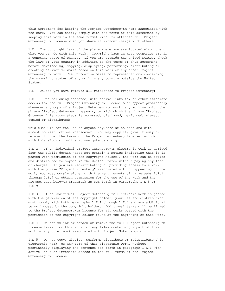this agreement for keeping the Project Gutenberg-tm name associated with the work. You can easily comply with the terms of this agreement by keeping this work in the same format with its attached full Project Gutenberg-tm License when you share it without charge with others.

1.D. The copyright laws of the place where you are located also govern what you can do with this work. Copyright laws in most countries are in a constant state of change. If you are outside the United States, check the laws of your country in addition to the terms of this agreement before downloading, copying, displaying, performing, distributing or creating derivative works based on this work or any other Project Gutenberg-tm work. The Foundation makes no representations concerning the copyright status of any work in any country outside the United States.

1.E. Unless you have removed all references to Project Gutenberg:

1.E.1. The following sentence, with active links to, or other immediate access to, the full Project Gutenberg-tm License must appear prominently whenever any copy of a Project Gutenberg-tm work (any work on which the phrase "Project Gutenberg" appears, or with which the phrase "Project Gutenberg" is associated) is accessed, displayed, performed, viewed, copied or distributed:

This eBook is for the use of anyone anywhere at no cost and with almost no restrictions whatsoever. You may copy it, give it away or re-use it under the terms of the Project Gutenberg License included with this eBook or online at www.gutenberg.org

1.E.2. If an individual Project Gutenberg-tm electronic work is derived from the public domain (does not contain a notice indicating that it is posted with permission of the copyright holder), the work can be copied and distributed to anyone in the United States without paying any fees or charges. If you are redistributing or providing access to a work with the phrase "Project Gutenberg" associated with or appearing on the work, you must comply either with the requirements of paragraphs 1.E.1 through 1.E.7 or obtain permission for the use of the work and the Project Gutenberg-tm trademark as set forth in paragraphs 1.E.8 or 1.E.9.

1.E.3. If an individual Project Gutenberg-tm electronic work is posted with the permission of the copyright holder, your use and distribution must comply with both paragraphs 1.E.1 through 1.E.7 and any additional terms imposed by the copyright holder. Additional terms will be linked to the Project Gutenberg-tm License for all works posted with the permission of the copyright holder found at the beginning of this work.

1.E.4. Do not unlink or detach or remove the full Project Gutenberg-tm License terms from this work, or any files containing a part of this work or any other work associated with Project Gutenberg-tm.

1.E.5. Do not copy, display, perform, distribute or redistribute this electronic work, or any part of this electronic work, without prominently displaying the sentence set forth in paragraph 1.E.1 with active links or immediate access to the full terms of the Project Gutenberg-tm License.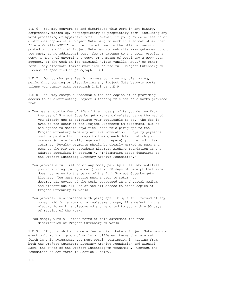1.E.6. You may convert to and distribute this work in any binary, compressed, marked up, nonproprietary or proprietary form, including any word processing or hypertext form. However, if you provide access to or distribute copies of a Project Gutenberg-tm work in a format other than "Plain Vanilla ASCII" or other format used in the official version posted on the official Project Gutenberg-tm web site (www.gutenberg.org), you must, at no additional cost, fee or expense to the user, provide a copy, a means of exporting a copy, or a means of obtaining a copy upon request, of the work in its original "Plain Vanilla ASCII" or other form. Any alternate format must include the full Project Gutenberg-tm License as specified in paragraph 1.E.1.

1.E.7. Do not charge a fee for access to, viewing, displaying, performing, copying or distributing any Project Gutenberg-tm works unless you comply with paragraph 1.E.8 or 1.E.9.

1.E.8. You may charge a reasonable fee for copies of or providing access to or distributing Project Gutenberg-tm electronic works provided that

- You pay a royalty fee of 20% of the gross profits you derive from the use of Project Gutenberg-tm works calculated using the method you already use to calculate your applicable taxes. The fee is owed to the owner of the Project Gutenberg-tm trademark, but he has agreed to donate royalties under this paragraph to the Project Gutenberg Literary Archive Foundation. Royalty payments must be paid within 60 days following each date on which you prepare (or are legally required to prepare) your periodic tax returns. Royalty payments should be clearly marked as such and sent to the Project Gutenberg Literary Archive Foundation at the address specified in Section 4, "Information about donations to the Project Gutenberg Literary Archive Foundation."
- You provide a full refund of any money paid by a user who notifies you in writing (or by e-mail) within 30 days of receipt that s/he does not agree to the terms of the full Project Gutenberg-tm License. You must require such a user to return or destroy all copies of the works possessed in a physical medium and discontinue all use of and all access to other copies of Project Gutenberg-tm works.
- You provide, in accordance with paragraph 1.F.3, a full refund of any money paid for a work or a replacement copy, if a defect in the electronic work is discovered and reported to you within 90 days of receipt of the work.
- You comply with all other terms of this agreement for free distribution of Project Gutenberg-tm works.

1.E.9. If you wish to charge a fee or distribute a Project Gutenberg-tm electronic work or group of works on different terms than are set forth in this agreement, you must obtain permission in writing from both the Project Gutenberg Literary Archive Foundation and Michael Hart, the owner of the Project Gutenberg-tm trademark. Contact the Foundation as set forth in Section 3 below.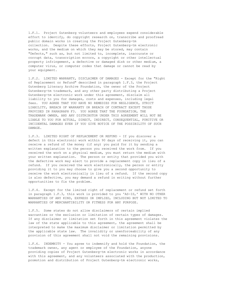1.F.1. Project Gutenberg volunteers and employees expend considerable effort to identify, do copyright research on, transcribe and proofread public domain works in creating the Project Gutenberg-tm collection. Despite these efforts, Project Gutenberg-tm electronic works, and the medium on which they may be stored, may contain "Defects," such as, but not limited to, incomplete, inaccurate or corrupt data, transcription errors, a copyright or other intellectual property infringement, a defective or damaged disk or other medium, a computer virus, or computer codes that damage or cannot be read by your equipment.

1.F.2. LIMITED WARRANTY, DISCLAIMER OF DAMAGES - Except for the "Right of Replacement or Refund" described in paragraph 1.F.3, the Project Gutenberg Literary Archive Foundation, the owner of the Project Gutenberg-tm trademark, and any other party distributing a Project Gutenberg-tm electronic work under this agreement, disclaim all liability to you for damages, costs and expenses, including legal fees. YOU AGREE THAT YOU HAVE NO REMEDIES FOR NEGLIGENCE, STRICT LIABILITY, BREACH OF WARRANTY OR BREACH OF CONTRACT EXCEPT THOSE PROVIDED IN PARAGRAPH F3. YOU AGREE THAT THE FOUNDATION, THE TRADEMARK OWNER, AND ANY DISTRIBUTOR UNDER THIS AGREEMENT WILL NOT BE LIABLE TO YOU FOR ACTUAL, DIRECT, INDIRECT, CONSEQUENTIAL, PUNITIVE OR INCIDENTAL DAMAGES EVEN IF YOU GIVE NOTICE OF THE POSSIBILITY OF SUCH DAMAGE.

1.F.3. LIMITED RIGHT OF REPLACEMENT OR REFUND - If you discover a defect in this electronic work within 90 days of receiving it, you can receive a refund of the money (if any) you paid for it by sending a written explanation to the person you received the work from. If you received the work on a physical medium, you must return the medium with your written explanation. The person or entity that provided you with the defective work may elect to provide a replacement copy in lieu of a refund. If you received the work electronically, the person or entity providing it to you may choose to give you a second opportunity to receive the work electronically in lieu of a refund. If the second copy is also defective, you may demand a refund in writing without further opportunities to fix the problem.

1.F.4. Except for the limited right of replacement or refund set forth in paragraph 1.F.3, this work is provided to you 'AS-IS,' WITH NO OTHER WARRANTIES OF ANY KIND, EXPRESS OR IMPLIED, INCLUDING BUT NOT LIMITED TO WARRANTIES OF MERCHANTIBILITY OR FITNESS FOR ANY PURPOSE.

1.F.5. Some states do not allow disclaimers of certain implied warranties or the exclusion or limitation of certain types of damages. If any disclaimer or limitation set forth in this agreement violates the law of the state applicable to this agreement, the agreement shall be interpreted to make the maximum disclaimer or limitation permitted by the applicable state law. The invalidity or unenforceability of any provision of this agreement shall not void the remaining provisions.

1.F.6. INDEMNITY - You agree to indemnify and hold the Foundation, the trademark owner, any agent or employee of the Foundation, anyone providing copies of Project Gutenberg-tm electronic works in accordance with this agreement, and any volunteers associated with the production, promotion and distribution of Project Gutenberg-tm electronic works,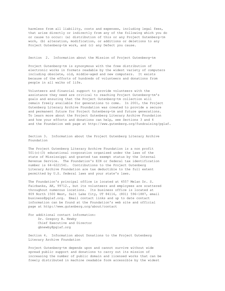harmless from all liability, costs and expenses, including legal fees, that arise directly or indirectly from any of the following which you do or cause to occur: (a) distribution of this or any Project Gutenberg-tm work, (b) alteration, modification, or additions or deletions to any Project Gutenberg-tm work, and (c) any Defect you cause.

#### Section 2. Information about the Mission of Project Gutenberg-tm

Project Gutenberg-tm is synonymous with the free distribution of electronic works in formats readable by the widest variety of computers including obsolete, old, middle-aged and new computers. It exists because of the efforts of hundreds of volunteers and donations from people in all walks of life.

Volunteers and financial support to provide volunteers with the assistance they need are critical to reaching Project Gutenberg-tm's goals and ensuring that the Project Gutenberg-tm collection will remain freely available for generations to come. In 2001, the Project Gutenberg Literary Archive Foundation was created to provide a secure and permanent future for Project Gutenberg-tm and future generations. To learn more about the Project Gutenberg Literary Archive Foundation and how your efforts and donations can help, see Sections 3 and 4 and the Foundation web page at http://www.gutenberg.org/fundraising/pglaf.

Section 3. Information about the Project Gutenberg Literary Archive Foundation

The Project Gutenberg Literary Archive Foundation is a non profit 501(c)(3) educational corporation organized under the laws of the state of Mississippi and granted tax exempt status by the Internal Revenue Service. The Foundation's EIN or federal tax identification number is 64-6221541. Contributions to the Project Gutenberg Literary Archive Foundation are tax deductible to the full extent permitted by U.S. federal laws and your state's laws.

The Foundation's principal office is located at 4557 Melan Dr. S. Fairbanks, AK, 99712., but its volunteers and employees are scattered throughout numerous locations. Its business office is located at 809 North 1500 West, Salt Lake City, UT 84116, (801) 596-1887, email business@pglaf.org. Email contact links and up to date contact information can be found at the Foundation's web site and official page at http://www.gutenberg.org/about/contact

For additional contact information: Dr. Gregory B. Newby Chief Executive and Director gbnewby@pglaf.org

Section 4. Information about Donations to the Project Gutenberg Literary Archive Foundation

Project Gutenberg-tm depends upon and cannot survive without wide spread public support and donations to carry out its mission of increasing the number of public domain and licensed works that can be freely distributed in machine readable form accessible by the widest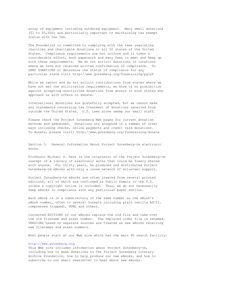array of equipment including outdated equipment. Many small donations (\$1 to \$5,000) are particularly important to maintaining tax exempt status with the IRS.

The Foundation is committed to complying with the laws regulating charities and charitable donations in all 50 states of the United States. Compliance requirements are not uniform and it takes a considerable effort, much paperwork and many fees to meet and keep up with these requirements. We do not solicit donations in locations where we have not received written confirmation of compliance. SEND DONATIONS or determine the status of compliance for any particular state visit http://www.gutenberg.org/fundraising/pglaf

While we cannot and do not solicit contributions from states where we have not met the solicitation requirements, we know of no prohibition against accepting unsolicited donations from donors in such states who approach us with offers to donate.

International donations are gratefully accepted, but we cannot make any statements concerning tax treatment of donations received from outside the United States. U.S. laws alone swamp our small staff.

Please check the Project Gutenberg Web pages for current donation methods and addresses. Donations are accepted in a number of other ways including checks, online payments and credit card donations. To donate, please visit: http://www.gutenberg.org/fundraising/donate

Section 5. General Information About Project Gutenberg-tm electronic works.

Professor Michael S. Hart is the originator of the Project Gutenberg-tm concept of a library of electronic works that could be freely shared with anyone. For thirty years, he produced and distributed Project Gutenberg-tm eBooks with only a loose network of volunteer support.

Project Gutenberg-tm eBooks are often created from several printed editions, all of which are confirmed as Public Domain in the U.S. unless a copyright notice is included. Thus, we do not necessarily keep eBooks in compliance with any particular paper edition.

Each eBook is in a subdirectory of the same number as the eBook's eBook number, often in several formats including plain vanilla ASCII, compressed (zipped), HTML and others.

Corrected EDITIONS of our eBooks replace the old file and take over the old filename and etext number. The replaced older file is renamed. VERSIONS based on separate sources are treated as new eBooks receiving new filenames and etext numbers.

Most people start at our Web site which has the main PG search facility:

#### [http://www.gutenberg.org](http://www.gutenberg.org/)

This Web site includes information about Project Gutenberg-tm, including how to make donations to the Project Gutenberg Literary Archive Foundation, how to help produce our new eBooks, and how to subscribe to our email newsletter to hear about new eBooks.